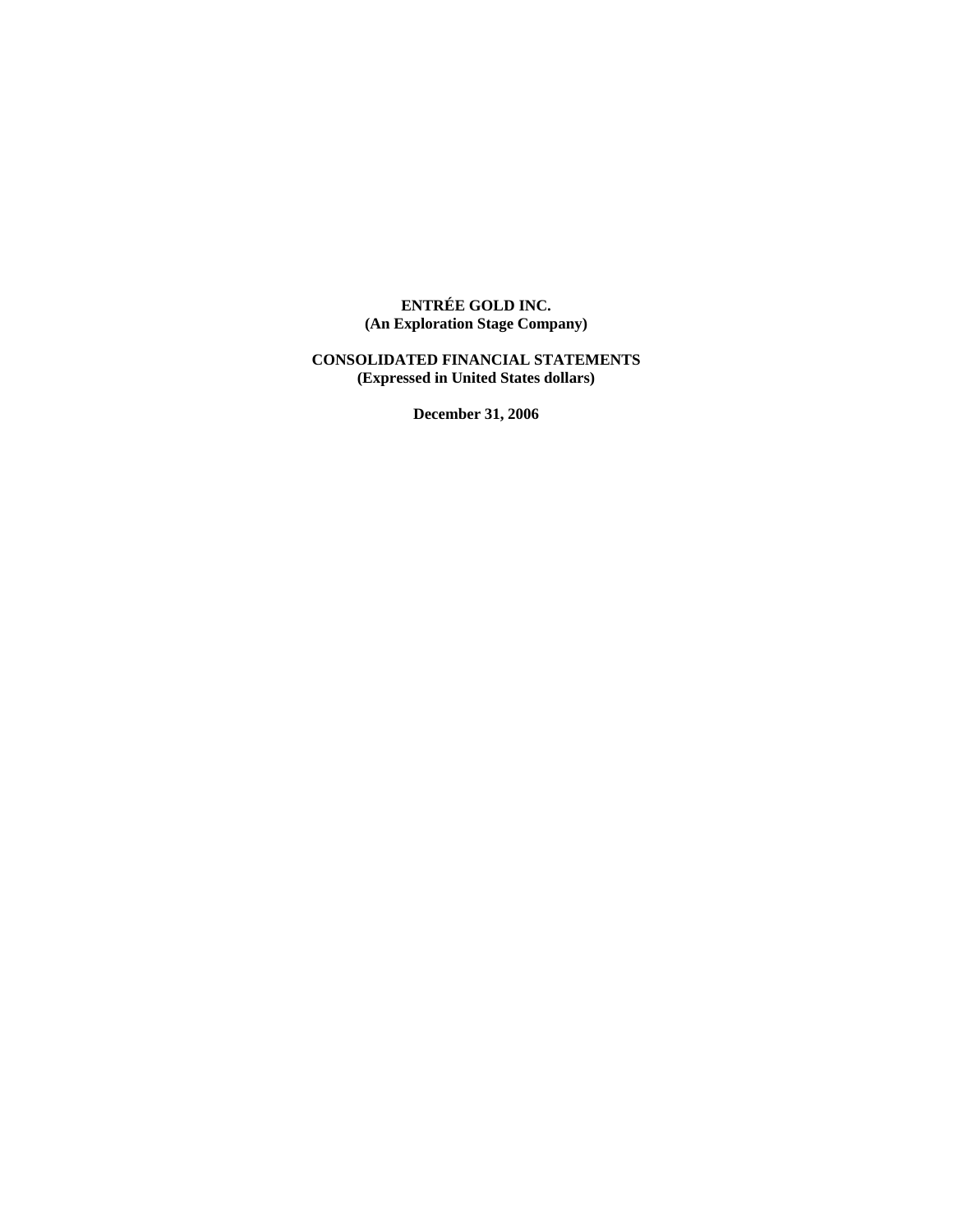# **ENTRÉE GOLD INC. (An Exploration Stage Company)**

# **CONSOLIDATED FINANCIAL STATEMENTS (Expressed in United States dollars)**

**December 31, 2006**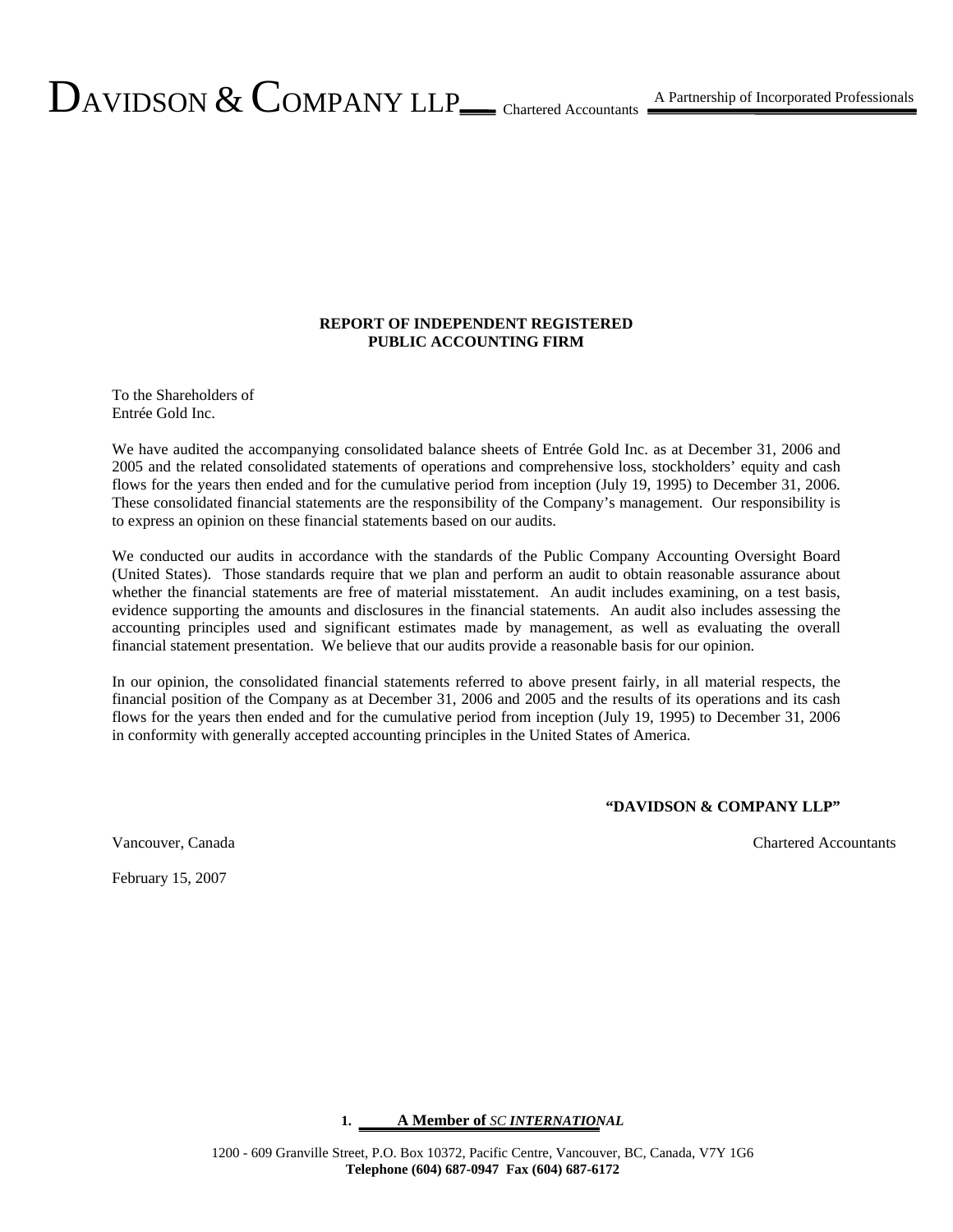### **REPORT OF INDEPENDENT REGISTERED PUBLIC ACCOUNTING FIRM**

To the Shareholders of Entrée Gold Inc.

We have audited the accompanying consolidated balance sheets of Entrée Gold Inc. as at December 31, 2006 and 2005 and the related consolidated statements of operations and comprehensive loss, stockholders' equity and cash flows for the years then ended and for the cumulative period from inception (July 19, 1995) to December 31, 2006. These consolidated financial statements are the responsibility of the Company's management. Our responsibility is to express an opinion on these financial statements based on our audits.

We conducted our audits in accordance with the standards of the Public Company Accounting Oversight Board (United States). Those standards require that we plan and perform an audit to obtain reasonable assurance about whether the financial statements are free of material misstatement. An audit includes examining, on a test basis, evidence supporting the amounts and disclosures in the financial statements. An audit also includes assessing the accounting principles used and significant estimates made by management, as well as evaluating the overall financial statement presentation. We believe that our audits provide a reasonable basis for our opinion.

In our opinion, the consolidated financial statements referred to above present fairly, in all material respects, the financial position of the Company as at December 31, 2006 and 2005 and the results of its operations and its cash flows for the years then ended and for the cumulative period from inception (July 19, 1995) to December 31, 2006 in conformity with generally accepted accounting principles in the United States of America.

#### **"DAVIDSON & COMPANY LLP"**

Vancouver, Canada Chartered Accountants

February 15, 2007

#### **1. A Member of** *SC INTERNATIONAL*

1200 - 609 Granville Street, P.O. Box 10372, Pacific Centre, Vancouver, BC, Canada, V7Y 1G6 **Telephone (604) 687-0947 Fax (604) 687-6172**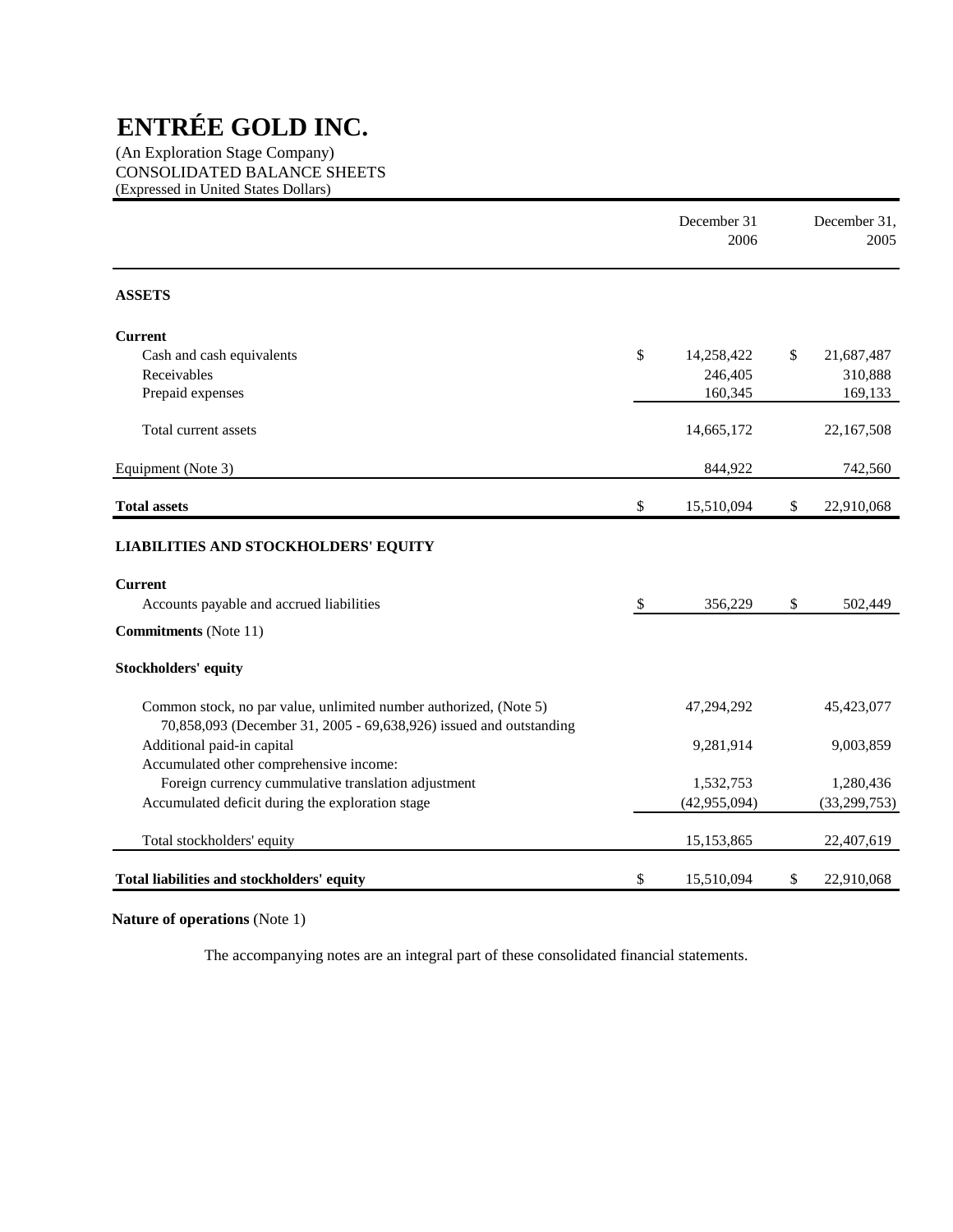(An Exploration Stage Company) CONSOLIDATED BALANCE SHEETS (Expressed in United States Dollars)

|                                                                                                                                         | December 31<br>2006 | December 31,<br>2005 |
|-----------------------------------------------------------------------------------------------------------------------------------------|---------------------|----------------------|
| <b>ASSETS</b>                                                                                                                           |                     |                      |
| <b>Current</b>                                                                                                                          |                     |                      |
| Cash and cash equivalents                                                                                                               | \$<br>14,258,422    | \$<br>21,687,487     |
| Receivables                                                                                                                             | 246,405             | 310,888              |
| Prepaid expenses                                                                                                                        | 160,345             | 169,133              |
| Total current assets                                                                                                                    | 14,665,172          | 22,167,508           |
| Equipment (Note 3)                                                                                                                      | 844,922             | 742,560              |
| <b>Total assets</b>                                                                                                                     | \$<br>15,510,094    | \$<br>22,910,068     |
| <b>LIABILITIES AND STOCKHOLDERS' EQUITY</b>                                                                                             |                     |                      |
| <b>Current</b>                                                                                                                          |                     |                      |
| Accounts payable and accrued liabilities                                                                                                | \$<br>356,229       | \$<br>502,449        |
| <b>Commitments</b> (Note 11)                                                                                                            |                     |                      |
| <b>Stockholders' equity</b>                                                                                                             |                     |                      |
| Common stock, no par value, unlimited number authorized, (Note 5)<br>70,858,093 (December 31, 2005 - 69,638,926) issued and outstanding | 47,294,292          | 45,423,077           |
| Additional paid-in capital                                                                                                              | 9,281,914           | 9,003,859            |
| Accumulated other comprehensive income:                                                                                                 |                     |                      |
| Foreign currency cummulative translation adjustment                                                                                     | 1,532,753           | 1,280,436            |
| Accumulated deficit during the exploration stage                                                                                        | (42, 955, 094)      | (33, 299, 753)       |
| Total stockholders' equity                                                                                                              | 15,153,865          | 22,407,619           |
| Total liabilities and stockholders' equity                                                                                              | \$<br>15,510,094    | \$<br>22,910,068     |

**Nature of operations** (Note 1)

The accompanying notes are an integral part of these consolidated financial statements.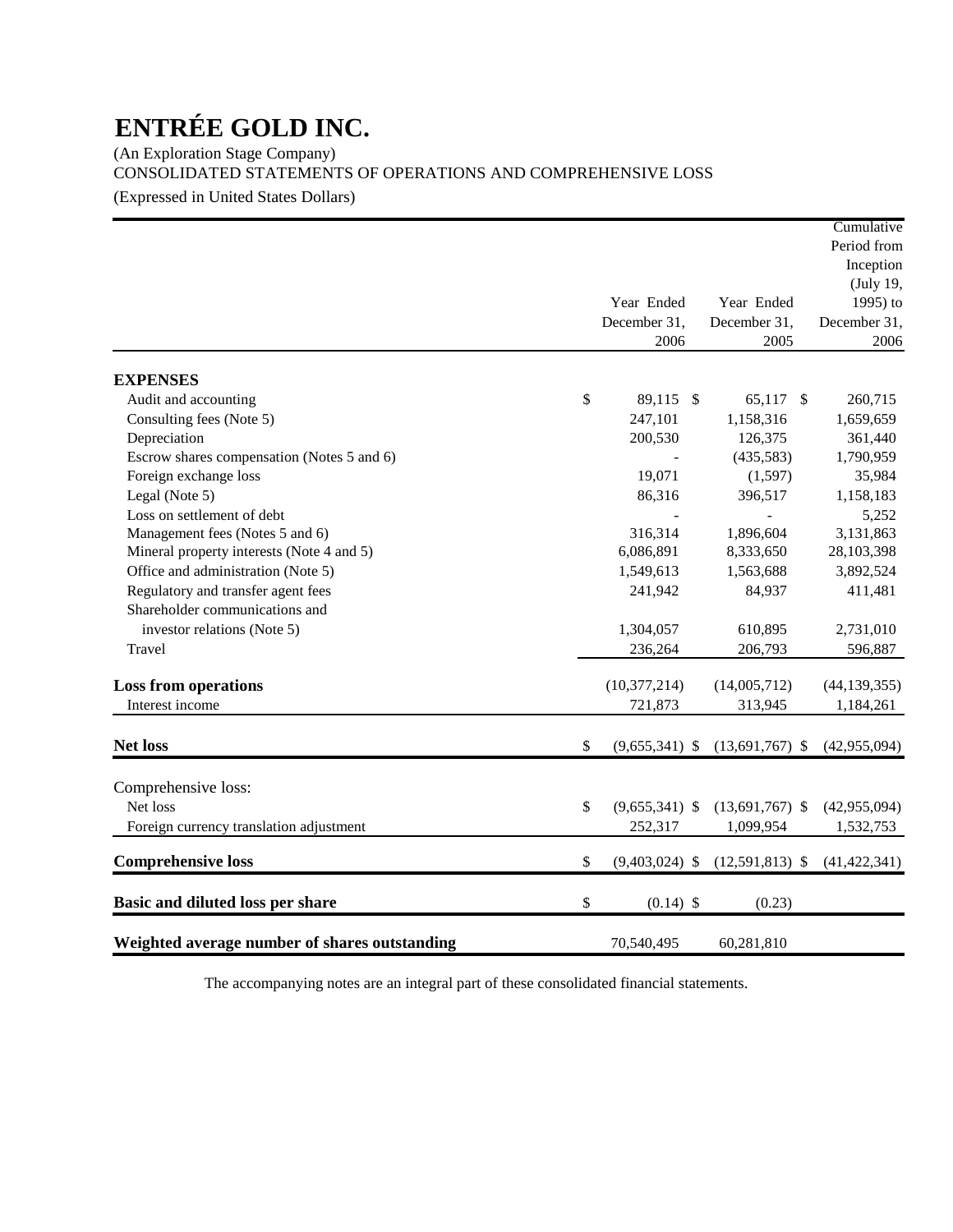(An Exploration Stage Company) CONSOLIDATED STATEMENTS OF OPERATIONS AND COMPREHENSIVE LOSS

(Expressed in United States Dollars)

|                                               |                        |                   | Cumulative     |
|-----------------------------------------------|------------------------|-------------------|----------------|
|                                               |                        |                   | Period from    |
|                                               |                        |                   | Inception      |
|                                               |                        |                   | (July 19,      |
|                                               | Year Ended             | Year Ended        | 1995) to       |
|                                               | December 31,           | December 31,      | December 31,   |
|                                               | 2006                   | 2005              | 2006           |
| <b>EXPENSES</b>                               |                        |                   |                |
| Audit and accounting                          | \$<br>89,115 \$        | 65,117 \$         | 260,715        |
| Consulting fees (Note 5)                      | 247,101                | 1,158,316         | 1,659,659      |
| Depreciation                                  | 200,530                | 126,375           | 361,440        |
| Escrow shares compensation (Notes 5 and 6)    |                        | (435,583)         | 1,790,959      |
| Foreign exchange loss                         | 19,071                 | (1,597)           | 35,984         |
| Legal (Note 5)                                | 86,316                 | 396,517           | 1,158,183      |
| Loss on settlement of debt                    |                        |                   | 5,252          |
| Management fees (Notes 5 and 6)               | 316,314                | 1,896,604         | 3,131,863      |
| Mineral property interests (Note 4 and 5)     | 6,086,891              | 8,333,650         | 28, 103, 398   |
| Office and administration (Note 5)            | 1,549,613              | 1,563,688         | 3,892,524      |
| Regulatory and transfer agent fees            | 241,942                | 84,937            | 411,481        |
| Shareholder communications and                |                        |                   |                |
| investor relations (Note 5)                   | 1,304,057              | 610,895           | 2,731,010      |
| Travel                                        | 236,264                | 206,793           | 596,887        |
| <b>Loss from operations</b>                   | (10, 377, 214)         | (14,005,712)      | (44, 139, 355) |
| Interest income                               | 721,873                | 313,945           | 1,184,261      |
|                                               |                        |                   |                |
| Net loss                                      | \$<br>$(9,655,341)$ \$ | $(13,691,767)$ \$ | (42, 955, 094) |
| Comprehensive loss:                           |                        |                   |                |
| Net loss                                      | \$<br>$(9,655,341)$ \$ | $(13,691,767)$ \$ | (42, 955, 094) |
| Foreign currency translation adjustment       | 252,317                | 1,099,954         | 1,532,753      |
|                                               |                        |                   |                |
| <b>Comprehensive loss</b>                     | \$<br>$(9,403,024)$ \$ | $(12,591,813)$ \$ | (41, 422, 341) |
| Basic and diluted loss per share              | \$<br>$(0.14)$ \$      | (0.23)            |                |
| Weighted average number of shares outstanding | 70,540,495             | 60,281,810        |                |

The accompanying notes are an integral part of these consolidated financial statements.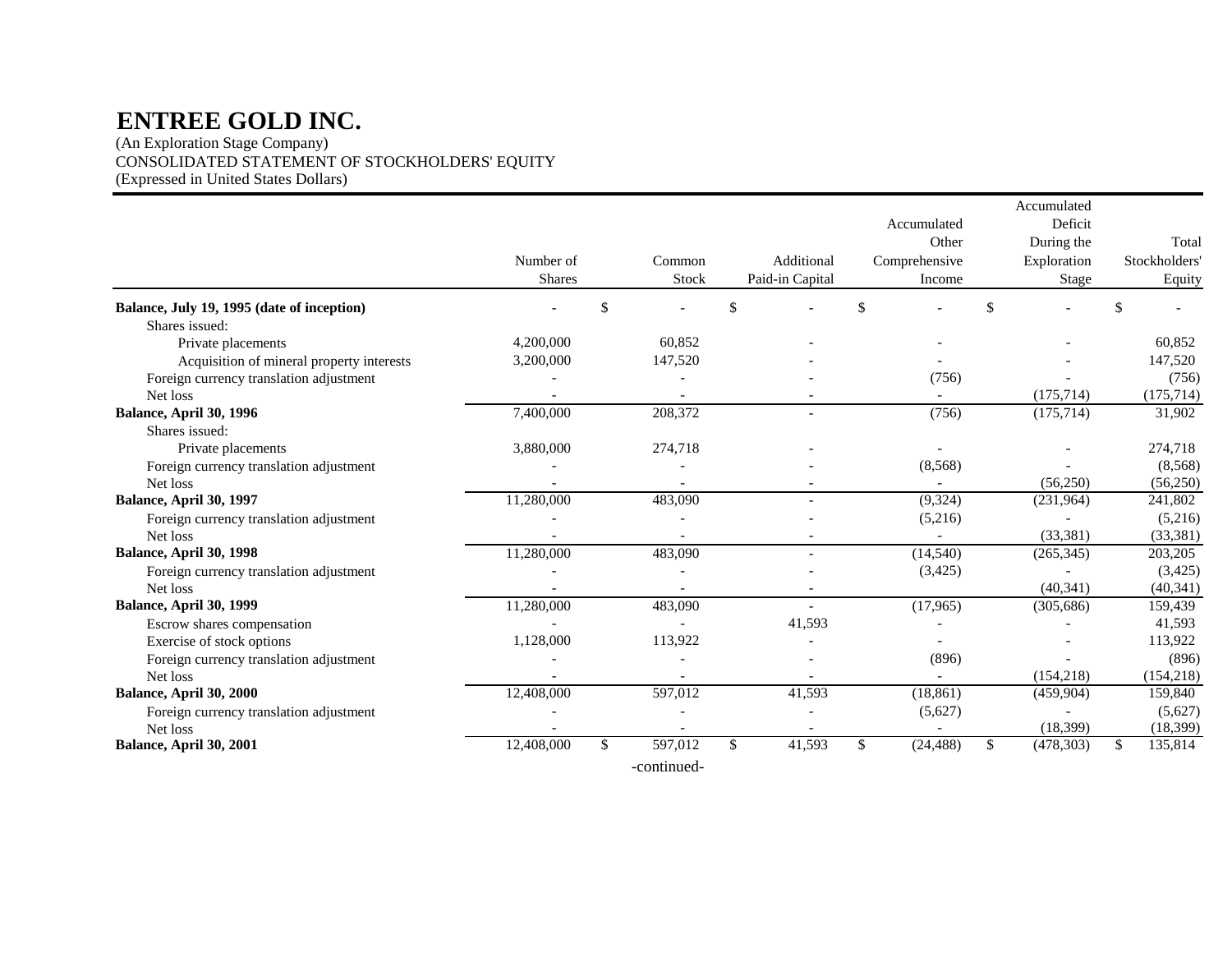(An Exploration Stage Company) CONSOLIDATED STATEMENT OF STOCKHOLDERS' EQUITY (Expressed in United States Dollars)

|                                            |               |               |                 |               |               | Accumulated      |               |
|--------------------------------------------|---------------|---------------|-----------------|---------------|---------------|------------------|---------------|
|                                            |               |               |                 |               | Accumulated   | Deficit          |               |
|                                            |               |               |                 |               | Other         | During the       | Total         |
|                                            | Number of     | Common        | Additional      |               | Comprehensive | Exploration      | Stockholders  |
|                                            | <b>Shares</b> | Stock         | Paid-in Capital |               | Income        | <b>Stage</b>     | Equity        |
| Balance, July 19, 1995 (date of inception) |               | \$            | \$              | $\mathcal{S}$ |               | \$               | \$            |
| Shares issued:                             |               |               |                 |               |               |                  |               |
| Private placements                         | 4,200,000     | 60,852        |                 |               |               |                  | 60,852        |
| Acquisition of mineral property interests  | 3,200,000     | 147,520       |                 |               |               |                  | 147,520       |
| Foreign currency translation adjustment    |               |               |                 |               | (756)         |                  | (756)         |
| Net loss                                   |               |               |                 |               |               | (175, 714)       | (175, 714)    |
| Balance, April 30, 1996                    | 7,400,000     | 208,372       |                 |               | (756)         | (175, 714)       | 31,902        |
| Shares issued:                             |               |               |                 |               |               |                  |               |
| Private placements                         | 3,880,000     | 274,718       |                 |               |               |                  | 274,718       |
| Foreign currency translation adjustment    |               |               |                 |               | (8,568)       |                  | (8,568)       |
| Net loss                                   |               |               |                 |               |               | (56, 250)        | (56, 250)     |
| Balance, April 30, 1997                    | 11,280,000    | 483,090       |                 |               | (9,324)       | (231,964)        | 241,802       |
| Foreign currency translation adjustment    |               |               |                 |               | (5,216)       |                  | (5,216)       |
| Net loss                                   |               |               |                 |               |               | (33, 381)        | (33, 381)     |
| Balance, April 30, 1998                    | 11,280,000    | 483,090       |                 |               | (14, 540)     | (265, 345)       | 203,205       |
| Foreign currency translation adjustment    |               |               |                 |               | (3,425)       |                  | (3,425)       |
| Net loss                                   |               |               |                 |               |               | (40, 341)        | (40, 341)     |
| Balance, April 30, 1999                    | 11,280,000    | 483,090       | $\overline{a}$  |               | (17,965)      | (305, 686)       | 159,439       |
| Escrow shares compensation                 |               |               | 41,593          |               |               |                  | 41,593        |
| Exercise of stock options                  | 1,128,000     | 113,922       |                 |               |               |                  | 113,922       |
| Foreign currency translation adjustment    |               |               |                 |               | (896)         |                  | (896)         |
| Net loss                                   |               |               |                 |               |               | (154, 218)       | (154, 218)    |
| Balance, April 30, 2000                    | 12,408,000    | 597,012       | 41,593          |               | (18, 861)     | (459,904)        | 159,840       |
| Foreign currency translation adjustment    |               |               |                 |               | (5,627)       |                  | (5,627)       |
| Net loss                                   |               |               |                 |               |               | (18, 399)        | (18, 399)     |
| Balance, April 30, 2001                    | 12,408,000    | \$<br>597,012 | \$<br>41,593    | \$            | (24, 488)     | \$<br>(478, 303) | \$<br>135,814 |
|                                            |               |               |                 |               |               |                  |               |

-continued-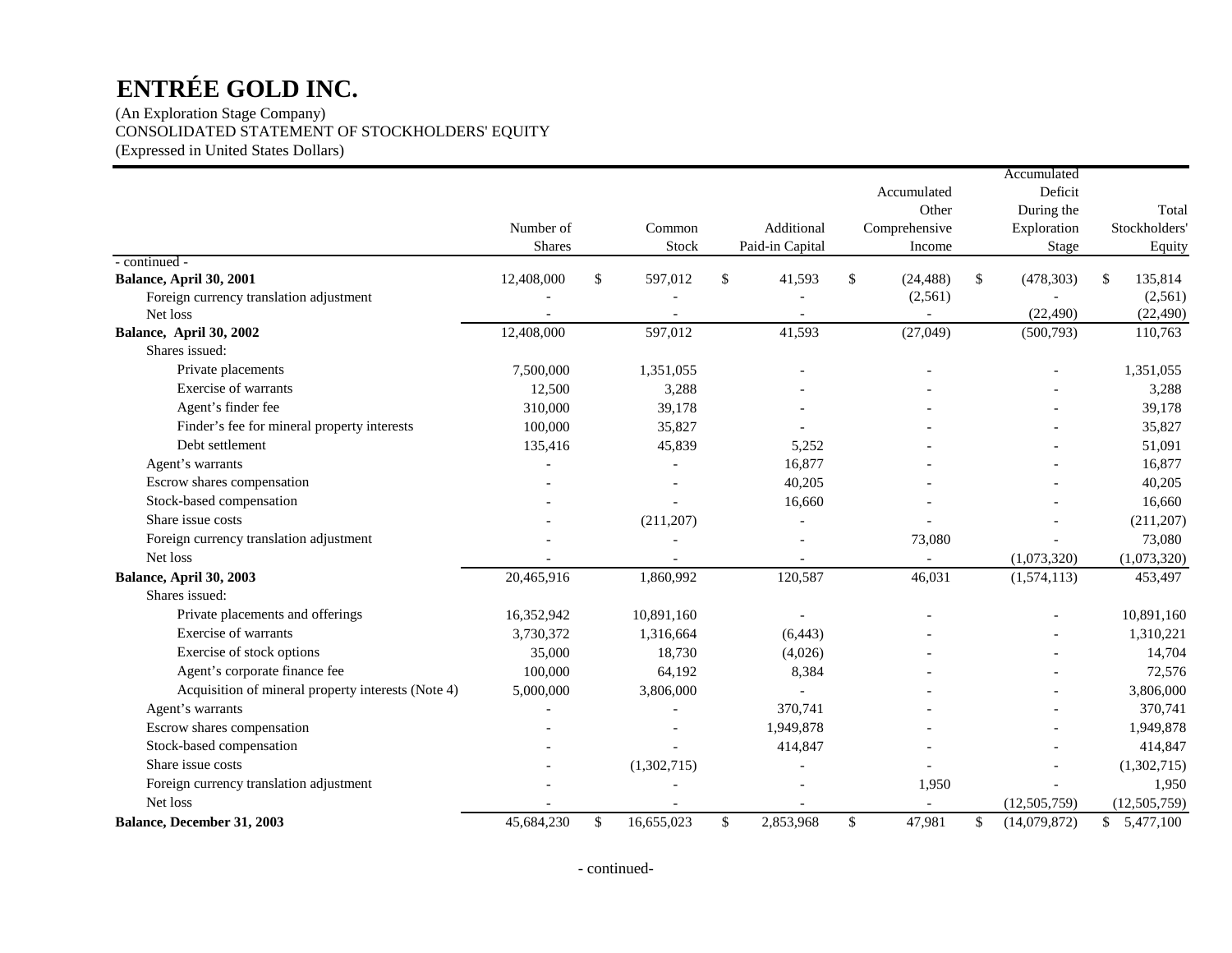(An Exploration Stage Company) CONSOLIDATED STATEMENT OF STOCKHOLDERS' EQUITY (Expressed in United States Dollars)

|                                                    |               |              |             |                 |              |               |              | Accumulated    |               |                |
|----------------------------------------------------|---------------|--------------|-------------|-----------------|--------------|---------------|--------------|----------------|---------------|----------------|
|                                                    |               |              |             |                 |              | Accumulated   |              | Deficit        |               |                |
|                                                    |               |              |             |                 |              | Other         |              | During the     |               | Total          |
|                                                    | Number of     |              | Common      | Additional      |              | Comprehensive |              | Exploration    |               | Stockholders'  |
|                                                    | <b>Shares</b> |              | Stock       | Paid-in Capital |              | Income        |              | Stage          |               | Equity         |
| - continued -                                      |               |              |             |                 |              |               |              |                |               |                |
| Balance, April 30, 2001                            | 12,408,000    | $\mathbb{S}$ | 597,012     | \$<br>41,593    | $\mathbb{S}$ | (24, 488)     | $\mathbb{S}$ | (478, 303)     | <sup>\$</sup> | 135,814        |
| Foreign currency translation adjustment            |               |              |             |                 |              | (2, 561)      |              |                |               | (2,561)        |
| Net loss                                           |               |              |             |                 |              |               |              | (22, 490)      |               | (22, 490)      |
| Balance, April 30, 2002                            | 12,408,000    |              | 597,012     | 41,593          |              | (27, 049)     |              | (500, 793)     |               | 110,763        |
| Shares issued:                                     |               |              |             |                 |              |               |              |                |               |                |
| Private placements                                 | 7,500,000     |              | 1,351,055   |                 |              |               |              |                |               | 1,351,055      |
| Exercise of warrants                               | 12,500        |              | 3,288       |                 |              |               |              |                |               | 3,288          |
| Agent's finder fee                                 | 310,000       |              | 39,178      |                 |              |               |              |                |               | 39,178         |
| Finder's fee for mineral property interests        | 100,000       |              | 35,827      |                 |              |               |              |                |               | 35,827         |
| Debt settlement                                    | 135,416       |              | 45,839      | 5,252           |              |               |              |                |               | 51,091         |
| Agent's warrants                                   |               |              |             | 16,877          |              |               |              |                |               | 16,877         |
| Escrow shares compensation                         |               |              |             | 40,205          |              |               |              |                |               | 40,205         |
| Stock-based compensation                           |               |              |             | 16,660          |              |               |              |                |               | 16,660         |
| Share issue costs                                  |               |              | (211,207)   |                 |              |               |              |                |               | (211, 207)     |
| Foreign currency translation adjustment            |               |              |             |                 |              | 73,080        |              |                |               | 73,080         |
| Net loss                                           |               |              |             |                 |              |               |              | (1,073,320)    |               | (1,073,320)    |
| Balance, April 30, 2003                            | 20,465,916    |              | 1,860,992   | 120,587         |              | 46,031        |              | (1,574,113)    |               | 453,497        |
| Shares issued:                                     |               |              |             |                 |              |               |              |                |               |                |
| Private placements and offerings                   | 16,352,942    |              | 10,891,160  |                 |              |               |              |                |               | 10,891,160     |
| Exercise of warrants                               | 3,730,372     |              | 1,316,664   | (6, 443)        |              |               |              |                |               | 1,310,221      |
| Exercise of stock options                          | 35,000        |              | 18,730      | (4,026)         |              |               |              |                |               | 14,704         |
| Agent's corporate finance fee                      | 100,000       |              | 64,192      | 8,384           |              |               |              |                |               | 72,576         |
| Acquisition of mineral property interests (Note 4) | 5,000,000     |              | 3,806,000   |                 |              |               |              |                |               | 3,806,000      |
| Agent's warrants                                   |               |              |             | 370,741         |              |               |              |                |               | 370,741        |
| Escrow shares compensation                         |               |              |             | 1,949,878       |              |               |              |                |               | 1,949,878      |
| Stock-based compensation                           |               |              |             | 414,847         |              |               |              |                |               | 414,847        |
| Share issue costs                                  |               |              | (1,302,715) |                 |              |               |              |                |               | (1,302,715)    |
| Foreign currency translation adjustment            |               |              |             |                 |              | 1,950         |              |                |               | 1,950          |
| Net loss                                           |               |              |             |                 |              |               |              | (12, 505, 759) |               | (12, 505, 759) |
| Balance, December 31, 2003                         | 45,684,230    | \$           | 16,655,023  | \$<br>2,853,968 | \$           | 47,981        | \$           | (14,079,872)   |               | \$5,477,100    |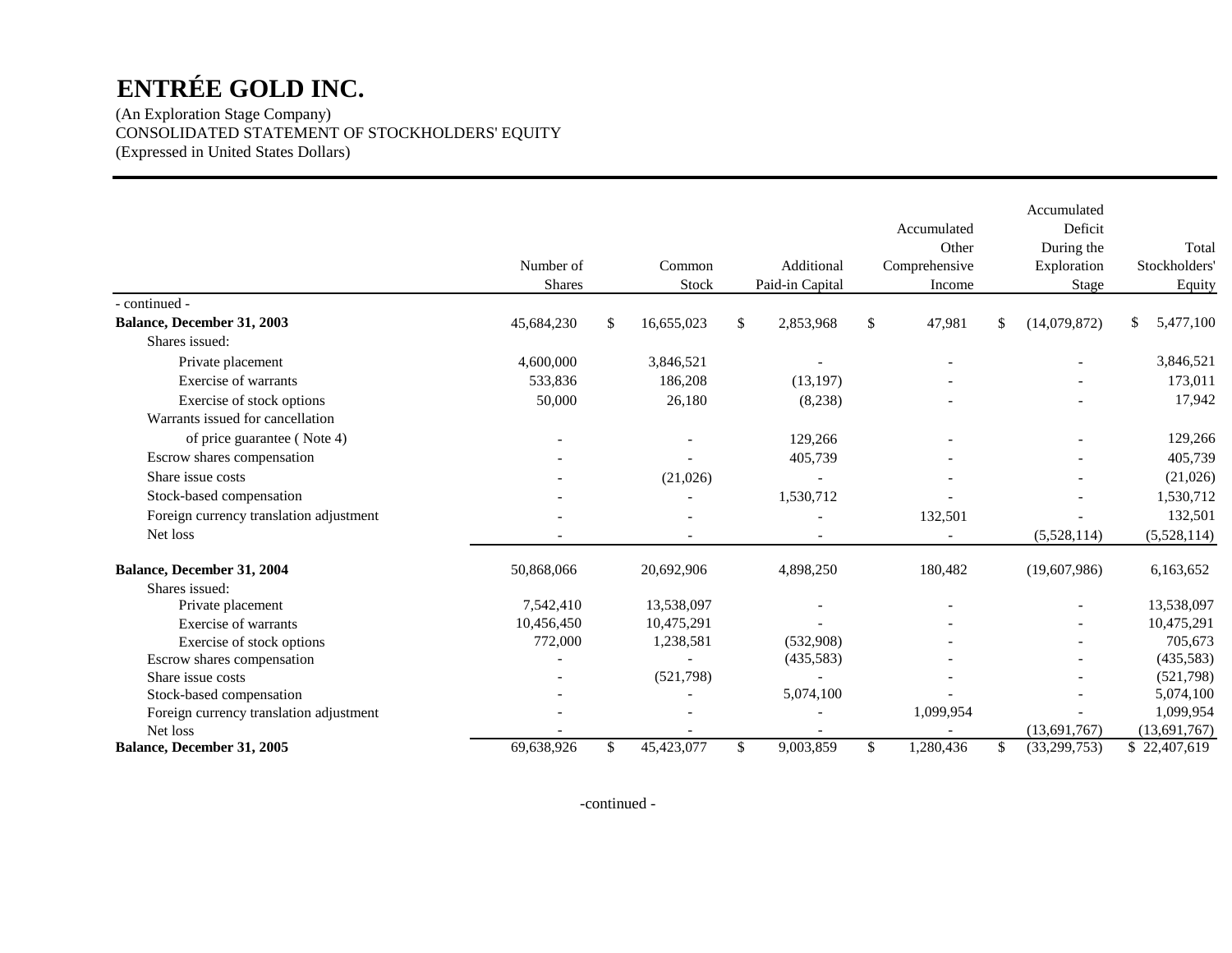(An Exploration Stage Company) CONSOLIDATED STATEMENT OF STOCKHOLDERS' EQUITY (Expressed in United States Dollars)

|                                         |               |                  |               |                 |               | Accumulated   | Accumulated<br>Deficit |                 |
|-----------------------------------------|---------------|------------------|---------------|-----------------|---------------|---------------|------------------------|-----------------|
|                                         |               |                  |               |                 |               | Other         | During the             | Total           |
|                                         | Number of     | Common           |               | Additional      |               | Comprehensive | Exploration            | Stockholders'   |
|                                         | <b>Shares</b> | Stock            |               | Paid-in Capital |               | Income        | <b>Stage</b>           | Equity          |
| - continued -                           |               |                  |               |                 |               |               |                        |                 |
| Balance, December 31, 2003              | 45,684,230    | \$<br>16,655,023 | $\frac{1}{2}$ | 2,853,968       | <sup>\$</sup> | 47,981        | \$<br>(14,079,872)     | 5,477,100<br>\$ |
| Shares issued:                          |               |                  |               |                 |               |               |                        |                 |
| Private placement                       | 4,600,000     | 3,846,521        |               |                 |               |               |                        | 3,846,521       |
| Exercise of warrants                    | 533,836       | 186,208          |               | (13, 197)       |               |               |                        | 173,011         |
| Exercise of stock options               | 50,000        | 26,180           |               | (8,238)         |               |               |                        | 17,942          |
| Warrants issued for cancellation        |               |                  |               |                 |               |               |                        |                 |
| of price guarantee (Note 4)             |               |                  |               | 129,266         |               |               |                        | 129,266         |
| Escrow shares compensation              |               |                  |               | 405,739         |               |               |                        | 405,739         |
| Share issue costs                       |               | (21,026)         |               |                 |               |               |                        | (21,026)        |
| Stock-based compensation                |               |                  |               | 1,530,712       |               |               |                        | 1,530,712       |
| Foreign currency translation adjustment |               |                  |               |                 |               | 132,501       |                        | 132,501         |
| Net loss                                |               |                  |               |                 |               |               | (5,528,114)            | (5,528,114)     |
| Balance, December 31, 2004              | 50,868,066    | 20,692,906       |               | 4,898,250       |               | 180,482       | (19,607,986)           | 6,163,652       |
| Shares issued:                          |               |                  |               |                 |               |               |                        |                 |
| Private placement                       | 7,542,410     | 13,538,097       |               |                 |               |               |                        | 13,538,097      |
| Exercise of warrants                    | 10,456,450    | 10,475,291       |               |                 |               |               |                        | 10,475,291      |
| Exercise of stock options               | 772,000       | 1,238,581        |               | (532,908)       |               |               |                        | 705,673         |
| Escrow shares compensation              |               |                  |               | (435,583)       |               |               |                        | (435,583)       |
| Share issue costs                       |               | (521,798)        |               |                 |               |               |                        | (521,798)       |
| Stock-based compensation                |               |                  |               | 5,074,100       |               |               |                        | 5,074,100       |
| Foreign currency translation adjustment |               |                  |               |                 |               | 1,099,954     |                        | 1,099,954       |
| Net loss                                |               |                  |               |                 |               |               | (13,691,767)           | (13,691,767)    |
| Balance, December 31, 2005              | 69,638,926    | \$<br>45,423,077 | \$            | 9,003,859       | \$            | 1,280,436     | \$<br>(33,299,753)     | \$22,407,619    |

-continued -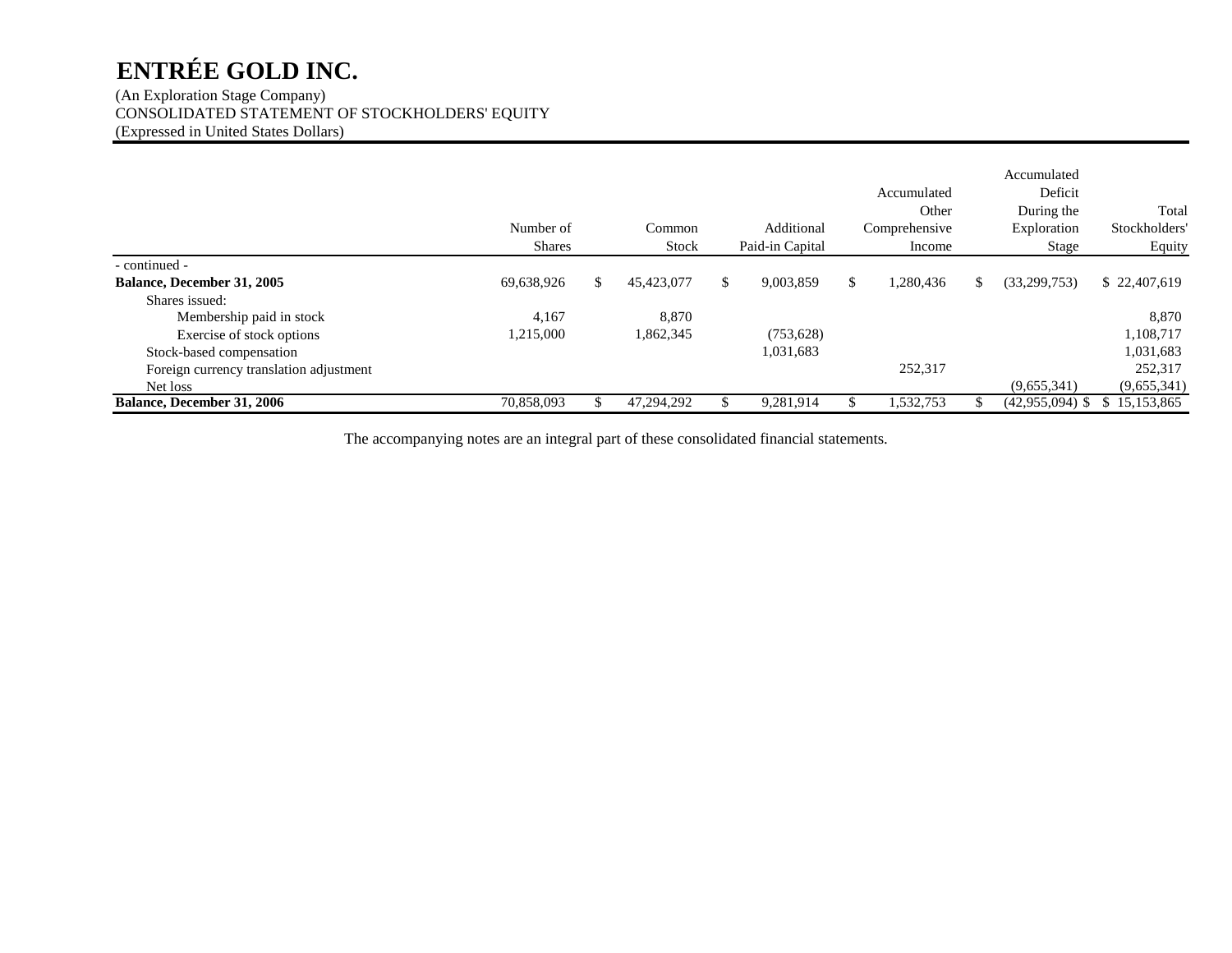(An Exploration Stage Company) CONSOLIDATED STATEMENT OF STOCKHOLDERS' EQUITY (Expressed in United States Dollars)

|                                         | Number of<br><b>Shares</b> |     | Common<br>Stock | Additional<br>Paid-in Capital | Accumulated<br>Other<br>Comprehensive<br>Income |    | Accumulated<br>Deficit<br>During the<br>Exploration<br>Stage | Total<br>Stockholders<br>Equity |
|-----------------------------------------|----------------------------|-----|-----------------|-------------------------------|-------------------------------------------------|----|--------------------------------------------------------------|---------------------------------|
| - continued -                           |                            |     |                 |                               |                                                 |    |                                                              |                                 |
| Balance, December 31, 2005              | 69,638,926                 | \$. | 45,423,077      | \$<br>9,003,859               | \$<br>1,280,436                                 | S. | (33,299,753)                                                 | \$22,407,619                    |
| Shares issued:                          |                            |     |                 |                               |                                                 |    |                                                              |                                 |
| Membership paid in stock                | 4.167                      |     | 8.870           |                               |                                                 |    |                                                              | 8,870                           |
| Exercise of stock options               | 1,215,000                  |     | 1,862,345       | (753, 628)                    |                                                 |    |                                                              | 1,108,717                       |
| Stock-based compensation                |                            |     |                 | 1,031,683                     |                                                 |    |                                                              | 1,031,683                       |
| Foreign currency translation adjustment |                            |     |                 |                               | 252,317                                         |    |                                                              | 252,317                         |
| Net loss                                |                            |     |                 |                               |                                                 |    | (9,655,341)                                                  | (9,655,341)                     |
| <b>Balance, December 31, 2006</b>       | 70,858,093                 |     | 47,294,292      | 9,281,914                     | .532,753                                        |    | (42,955,094)                                                 | \$15,153,865                    |

The accompanying notes are an integral part of these consolidated financial statements.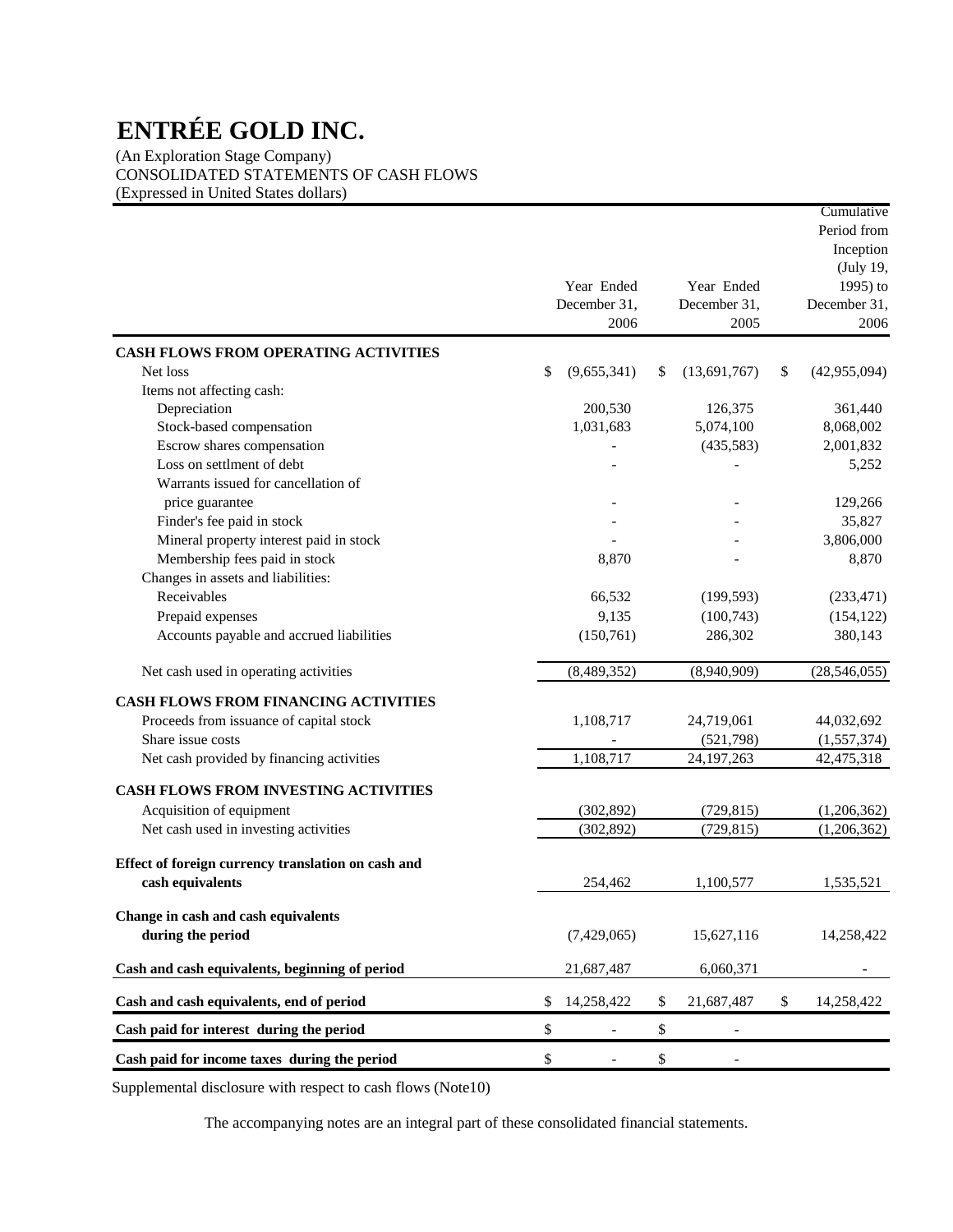(An Exploration Stage Company) CONSOLIDATED STATEMENTS OF CASH FLOWS (Expressed in United States dollars)

|                                                    |      |                          |                                | Cumulative<br>Period from |
|----------------------------------------------------|------|--------------------------|--------------------------------|---------------------------|
|                                                    |      |                          |                                | Inception                 |
|                                                    |      |                          |                                | (July 19,                 |
|                                                    |      | Year Ended               | Year Ended                     | 1995) to                  |
|                                                    |      | December 31,             | December 31,                   | December 31,              |
|                                                    |      | 2006                     | 2005                           | 2006                      |
| <b>CASH FLOWS FROM OPERATING ACTIVITIES</b>        |      |                          |                                |                           |
| Net loss                                           | \$   | (9,655,341)              | \$<br>(13,691,767)             | \$<br>(42, 955, 094)      |
| Items not affecting cash:                          |      |                          |                                |                           |
| Depreciation                                       |      | 200,530                  | 126,375                        | 361,440                   |
| Stock-based compensation                           |      | 1,031,683                | 5,074,100                      | 8,068,002                 |
| Escrow shares compensation                         |      |                          | (435,583)                      | 2,001,832                 |
| Loss on settlment of debt                          |      |                          |                                | 5,252                     |
| Warrants issued for cancellation of                |      |                          |                                |                           |
| price guarantee                                    |      |                          |                                | 129,266                   |
| Finder's fee paid in stock                         |      |                          |                                | 35,827                    |
| Mineral property interest paid in stock            |      |                          |                                | 3,806,000                 |
| Membership fees paid in stock                      |      | 8,870                    |                                | 8,870                     |
| Changes in assets and liabilities:                 |      |                          |                                |                           |
| Receivables                                        |      | 66,532                   | (199, 593)                     | (233, 471)                |
| Prepaid expenses                                   |      | 9,135                    | (100, 743)                     | (154, 122)                |
| Accounts payable and accrued liabilities           |      | (150, 761)               | 286,302                        | 380,143                   |
|                                                    |      |                          |                                |                           |
| Net cash used in operating activities              |      | (8,489,352)              | (8,940,909)                    | (28, 546, 055)            |
| <b>CASH FLOWS FROM FINANCING ACTIVITIES</b>        |      |                          |                                |                           |
| Proceeds from issuance of capital stock            |      | 1,108,717                | 24,719,061                     | 44,032,692                |
| Share issue costs                                  |      |                          | (521,798)                      | (1,557,374)               |
| Net cash provided by financing activities          |      | 1,108,717                | 24, 197, 263                   | 42,475,318                |
|                                                    |      |                          |                                |                           |
| CASH FLOWS FROM INVESTING ACTIVITIES               |      |                          |                                |                           |
| Acquisition of equipment                           |      | (302, 892)               | (729, 815)                     | (1,206,362)               |
| Net cash used in investing activities              |      | (302, 892)               | (729, 815)                     | (1,206,362)               |
| Effect of foreign currency translation on cash and |      |                          |                                |                           |
|                                                    |      |                          |                                |                           |
| cash equivalents                                   |      | 254,462                  | 1,100,577                      | 1,535,521                 |
| Change in cash and cash equivalents                |      |                          |                                |                           |
| during the period                                  |      | (7,429,065)              | 15,627,116                     | 14,258,422                |
|                                                    |      |                          |                                |                           |
| Cash and cash equivalents, beginning of period     |      | 21,687,487               | 6,060,371                      | $\overline{\phantom{a}}$  |
| Cash and cash equivalents, end of period           | \$   | 14,258,422               | \$<br>21,687,487               | \$<br>14,258,422          |
| Cash paid for interest during the period           | $\$$ | $\overline{\phantom{a}}$ | \$<br>$\overline{\phantom{a}}$ |                           |
| Cash paid for income taxes during the period       | \$   | $\overline{\phantom{a}}$ | \$<br>$\overline{\phantom{a}}$ |                           |

Supplemental disclosure with respect to cash flows (Note10)

The accompanying notes are an integral part of these consolidated financial statements.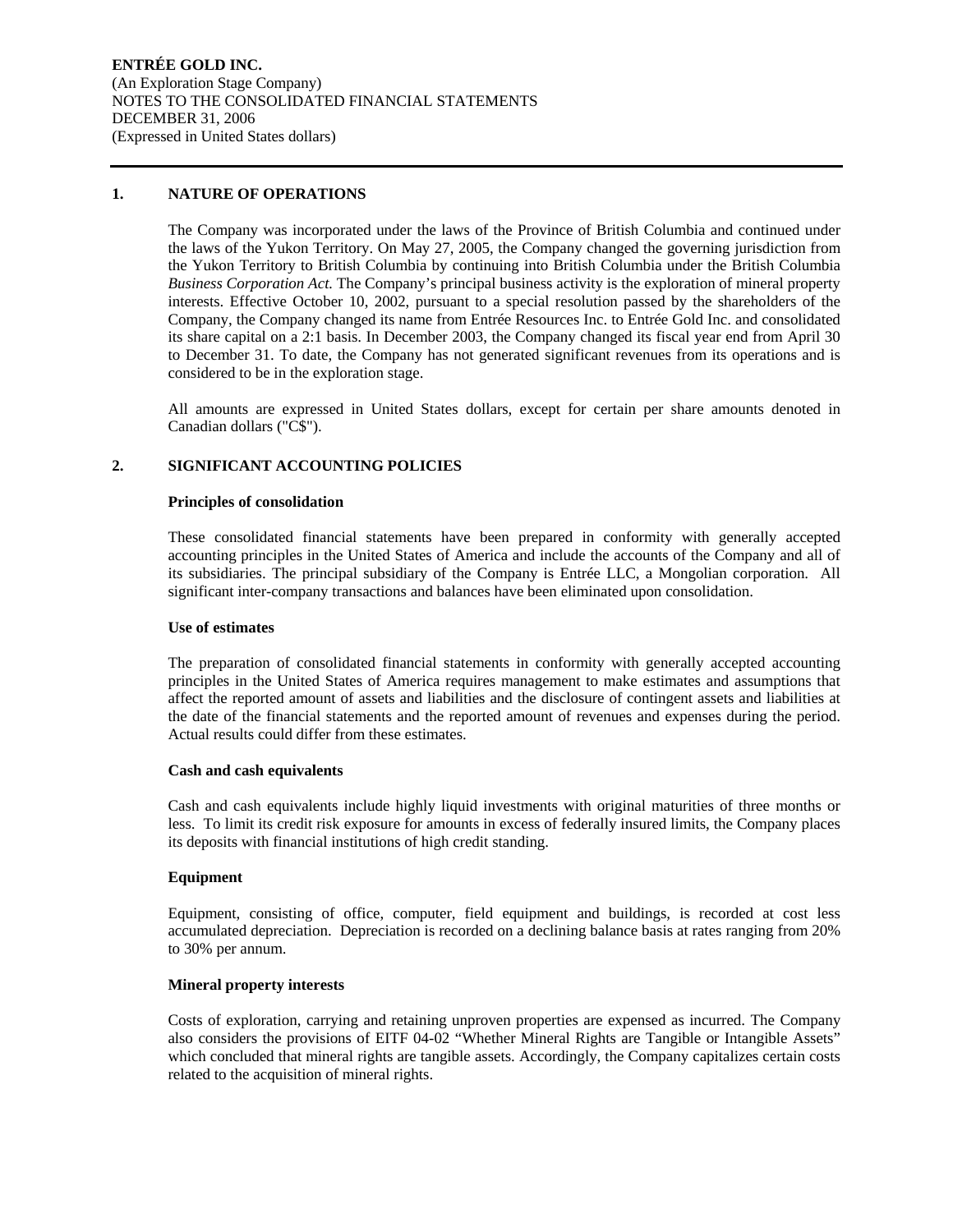#### **1. NATURE OF OPERATIONS**

The Company was incorporated under the laws of the Province of British Columbia and continued under the laws of the Yukon Territory. On May 27, 2005, the Company changed the governing jurisdiction from the Yukon Territory to British Columbia by continuing into British Columbia under the British Columbia *Business Corporation Act.* The Company's principal business activity is the exploration of mineral property interests. Effective October 10, 2002, pursuant to a special resolution passed by the shareholders of the Company, the Company changed its name from Entrée Resources Inc. to Entrée Gold Inc. and consolidated its share capital on a 2:1 basis. In December 2003, the Company changed its fiscal year end from April 30 to December 31. To date, the Company has not generated significant revenues from its operations and is considered to be in the exploration stage.

All amounts are expressed in United States dollars, except for certain per share amounts denoted in Canadian dollars ("C\$").

#### **2. SIGNIFICANT ACCOUNTING POLICIES**

#### **Principles of consolidation**

These consolidated financial statements have been prepared in conformity with generally accepted accounting principles in the United States of America and include the accounts of the Company and all of its subsidiaries. The principal subsidiary of the Company is Entrée LLC, a Mongolian corporation. All significant inter-company transactions and balances have been eliminated upon consolidation.

#### **Use of estimates**

The preparation of consolidated financial statements in conformity with generally accepted accounting principles in the United States of America requires management to make estimates and assumptions that affect the reported amount of assets and liabilities and the disclosure of contingent assets and liabilities at the date of the financial statements and the reported amount of revenues and expenses during the period. Actual results could differ from these estimates.

#### **Cash and cash equivalents**

Cash and cash equivalents include highly liquid investments with original maturities of three months or less. To limit its credit risk exposure for amounts in excess of federally insured limits, the Company places its deposits with financial institutions of high credit standing.

#### **Equipment**

Equipment, consisting of office, computer, field equipment and buildings, is recorded at cost less accumulated depreciation. Depreciation is recorded on a declining balance basis at rates ranging from 20% to 30% per annum.

#### **Mineral property interests**

Costs of exploration, carrying and retaining unproven properties are expensed as incurred. The Company also considers the provisions of EITF 04-02 "Whether Mineral Rights are Tangible or Intangible Assets" which concluded that mineral rights are tangible assets. Accordingly, the Company capitalizes certain costs related to the acquisition of mineral rights.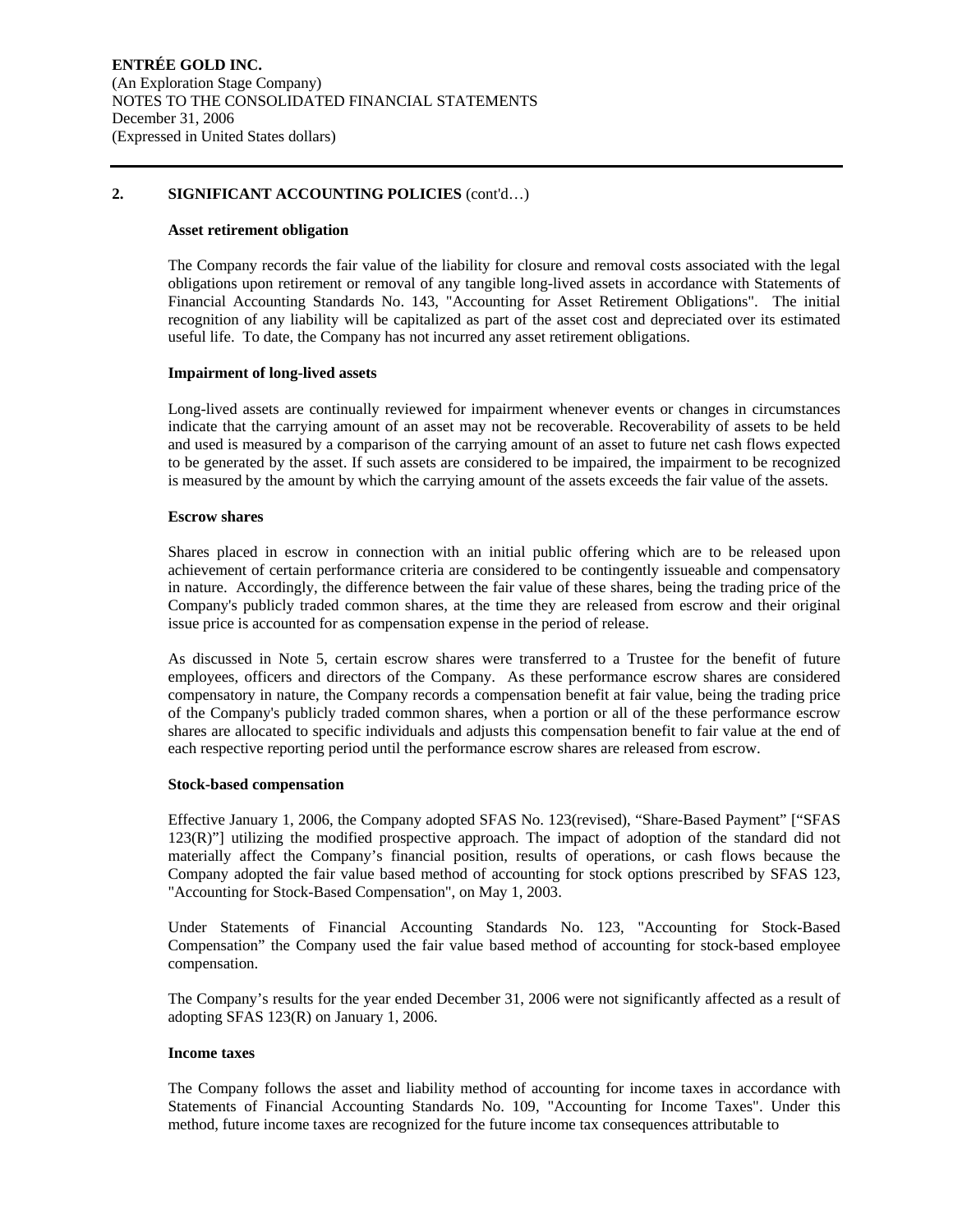#### **2. SIGNIFICANT ACCOUNTING POLICIES** (cont'd…)

#### **Asset retirement obligation**

The Company records the fair value of the liability for closure and removal costs associated with the legal obligations upon retirement or removal of any tangible long-lived assets in accordance with Statements of Financial Accounting Standards No. 143, "Accounting for Asset Retirement Obligations". The initial recognition of any liability will be capitalized as part of the asset cost and depreciated over its estimated useful life. To date, the Company has not incurred any asset retirement obligations.

#### **Impairment of long-lived assets**

Long-lived assets are continually reviewed for impairment whenever events or changes in circumstances indicate that the carrying amount of an asset may not be recoverable. Recoverability of assets to be held and used is measured by a comparison of the carrying amount of an asset to future net cash flows expected to be generated by the asset. If such assets are considered to be impaired, the impairment to be recognized is measured by the amount by which the carrying amount of the assets exceeds the fair value of the assets.

#### **Escrow shares**

Shares placed in escrow in connection with an initial public offering which are to be released upon achievement of certain performance criteria are considered to be contingently issueable and compensatory in nature. Accordingly, the difference between the fair value of these shares, being the trading price of the Company's publicly traded common shares, at the time they are released from escrow and their original issue price is accounted for as compensation expense in the period of release.

As discussed in Note 5, certain escrow shares were transferred to a Trustee for the benefit of future employees, officers and directors of the Company. As these performance escrow shares are considered compensatory in nature, the Company records a compensation benefit at fair value, being the trading price of the Company's publicly traded common shares, when a portion or all of the these performance escrow shares are allocated to specific individuals and adjusts this compensation benefit to fair value at the end of each respective reporting period until the performance escrow shares are released from escrow.

#### **Stock-based compensation**

Effective January 1, 2006, the Company adopted SFAS No. 123(revised), "Share-Based Payment" ["SFAS 123(R)"] utilizing the modified prospective approach. The impact of adoption of the standard did not materially affect the Company's financial position, results of operations, or cash flows because the Company adopted the fair value based method of accounting for stock options prescribed by SFAS 123, "Accounting for Stock-Based Compensation", on May 1, 2003.

Under Statements of Financial Accounting Standards No. 123, "Accounting for Stock-Based Compensation" the Company used the fair value based method of accounting for stock-based employee compensation.

The Company's results for the year ended December 31, 2006 were not significantly affected as a result of adopting SFAS 123(R) on January 1, 2006.

#### **Income taxes**

The Company follows the asset and liability method of accounting for income taxes in accordance with Statements of Financial Accounting Standards No. 109, "Accounting for Income Taxes". Under this method, future income taxes are recognized for the future income tax consequences attributable to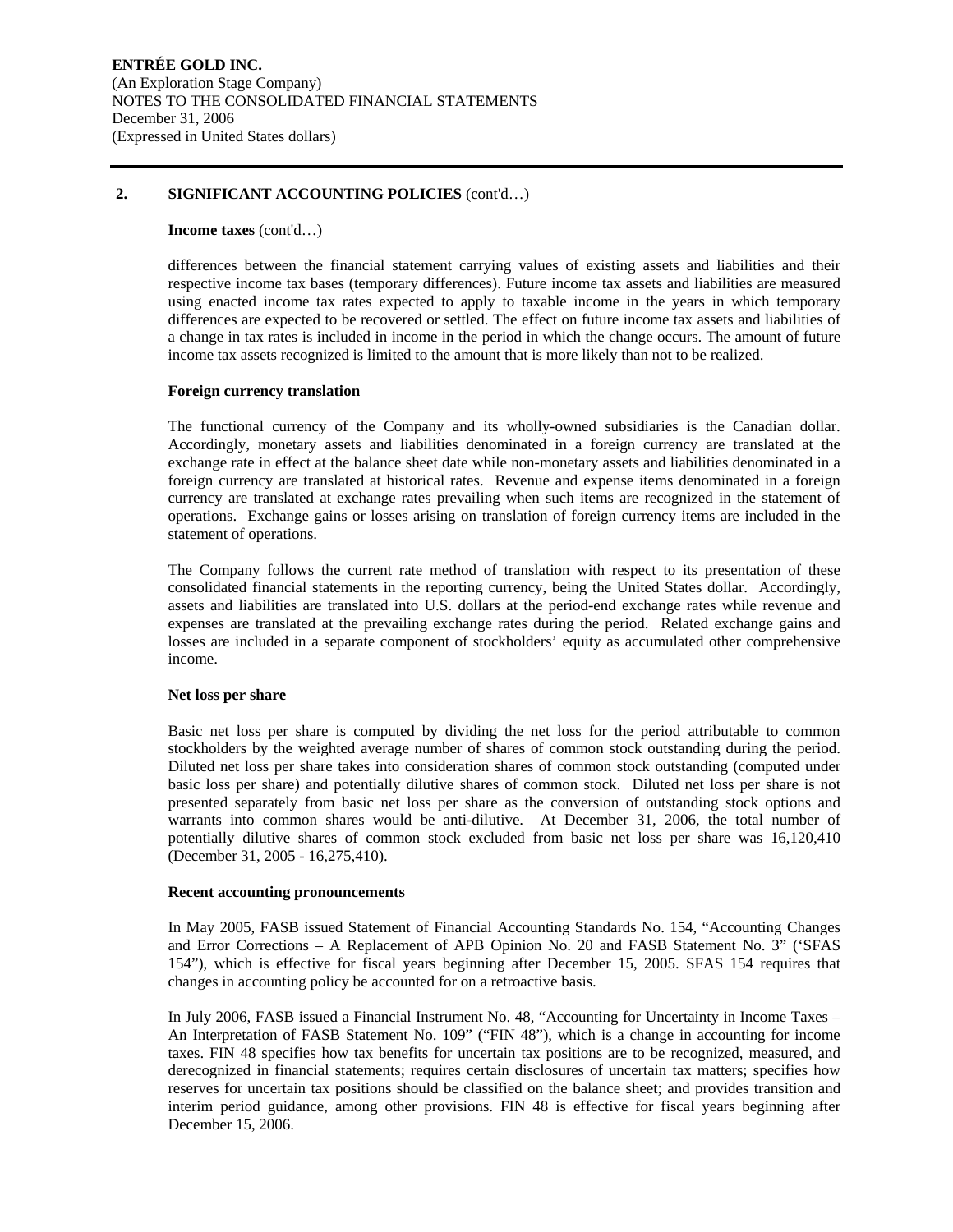#### **2. SIGNIFICANT ACCOUNTING POLICIES** (cont'd…)

#### **Income taxes** (cont'd…)

differences between the financial statement carrying values of existing assets and liabilities and their respective income tax bases (temporary differences). Future income tax assets and liabilities are measured using enacted income tax rates expected to apply to taxable income in the years in which temporary differences are expected to be recovered or settled. The effect on future income tax assets and liabilities of a change in tax rates is included in income in the period in which the change occurs. The amount of future income tax assets recognized is limited to the amount that is more likely than not to be realized.

#### **Foreign currency translation**

The functional currency of the Company and its wholly-owned subsidiaries is the Canadian dollar. Accordingly, monetary assets and liabilities denominated in a foreign currency are translated at the exchange rate in effect at the balance sheet date while non-monetary assets and liabilities denominated in a foreign currency are translated at historical rates. Revenue and expense items denominated in a foreign currency are translated at exchange rates prevailing when such items are recognized in the statement of operations. Exchange gains or losses arising on translation of foreign currency items are included in the statement of operations.

The Company follows the current rate method of translation with respect to its presentation of these consolidated financial statements in the reporting currency, being the United States dollar. Accordingly, assets and liabilities are translated into U.S. dollars at the period-end exchange rates while revenue and expenses are translated at the prevailing exchange rates during the period. Related exchange gains and losses are included in a separate component of stockholders' equity as accumulated other comprehensive income.

#### **Net loss per share**

Basic net loss per share is computed by dividing the net loss for the period attributable to common stockholders by the weighted average number of shares of common stock outstanding during the period. Diluted net loss per share takes into consideration shares of common stock outstanding (computed under basic loss per share) and potentially dilutive shares of common stock. Diluted net loss per share is not presented separately from basic net loss per share as the conversion of outstanding stock options and warrants into common shares would be anti-dilutive. At December 31, 2006, the total number of potentially dilutive shares of common stock excluded from basic net loss per share was 16,120,410 (December 31, 2005 - 16,275,410).

#### **Recent accounting pronouncements**

In May 2005, FASB issued Statement of Financial Accounting Standards No. 154, "Accounting Changes and Error Corrections – A Replacement of APB Opinion No. 20 and FASB Statement No. 3" ('SFAS 154"), which is effective for fiscal years beginning after December 15, 2005. SFAS 154 requires that changes in accounting policy be accounted for on a retroactive basis.

In July 2006, FASB issued a Financial Instrument No. 48, "Accounting for Uncertainty in Income Taxes – An Interpretation of FASB Statement No. 109" ("FIN 48"), which is a change in accounting for income taxes. FIN 48 specifies how tax benefits for uncertain tax positions are to be recognized, measured, and derecognized in financial statements; requires certain disclosures of uncertain tax matters; specifies how reserves for uncertain tax positions should be classified on the balance sheet; and provides transition and interim period guidance, among other provisions. FIN 48 is effective for fiscal years beginning after December 15, 2006.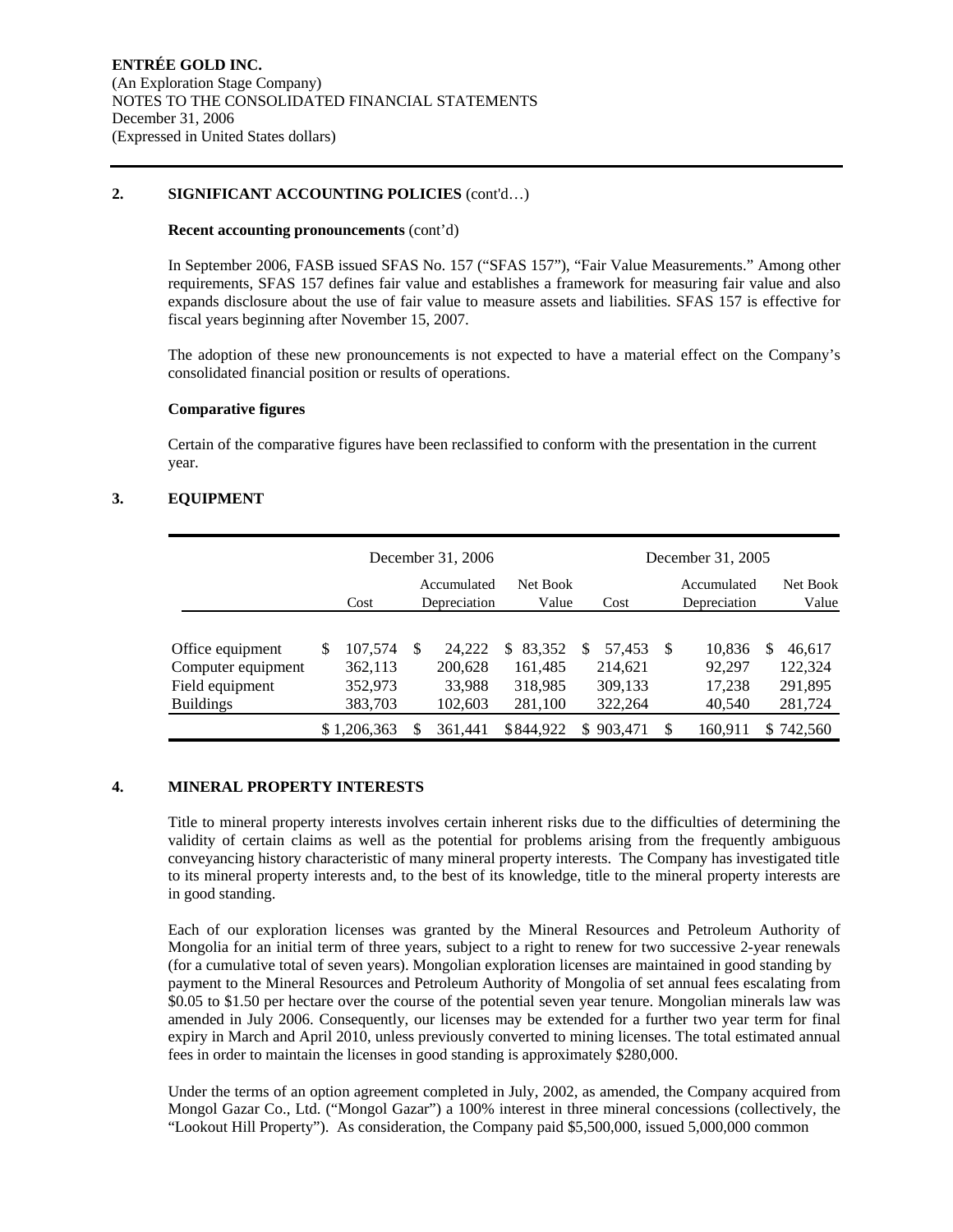#### **2. SIGNIFICANT ACCOUNTING POLICIES** (cont'd…)

#### **Recent accounting pronouncements** (cont'd)

In September 2006, FASB issued SFAS No. 157 ("SFAS 157"), "Fair Value Measurements." Among other requirements, SFAS 157 defines fair value and establishes a framework for measuring fair value and also expands disclosure about the use of fair value to measure assets and liabilities. SFAS 157 is effective for fiscal years beginning after November 15, 2007.

The adoption of these new pronouncements is not expected to have a material effect on the Company's consolidated financial position or results of operations.

#### **Comparative figures**

Certain of the comparative figures have been reclassified to conform with the presentation in the current year.

### **3. EQUIPMENT**

|                                                                               |   |                                          |    | December 31, 2006                      |                                                |     |                                         |    | December 31, 2005                    |   |                                         |
|-------------------------------------------------------------------------------|---|------------------------------------------|----|----------------------------------------|------------------------------------------------|-----|-----------------------------------------|----|--------------------------------------|---|-----------------------------------------|
|                                                                               |   | Cost                                     |    | Accumulated<br>Depreciation            | Net Book<br>Value                              |     | Cost                                    |    | Accumulated<br>Depreciation          |   | Net Book<br>Value                       |
| Office equipment<br>Computer equipment<br>Field equipment<br><b>Buildings</b> | S | 107,574<br>362,113<br>352,973<br>383,703 | -S | 24.222<br>200,628<br>33.988<br>102,603 | 83.352<br>\$.<br>161,485<br>318,985<br>281,100 | \$. | 57.453<br>214,621<br>309,133<br>322,264 | -S | 10.836<br>92,297<br>17,238<br>40,540 | S | 46.617<br>122,324<br>291,895<br>281,724 |
|                                                                               |   | \$1,206,363                              |    | 361.441                                | \$844.922                                      | \$. | 903.471                                 |    | 160.911                              |   | \$742,560                               |

# **4. MINERAL PROPERTY INTERESTS**

Title to mineral property interests involves certain inherent risks due to the difficulties of determining the validity of certain claims as well as the potential for problems arising from the frequently ambiguous conveyancing history characteristic of many mineral property interests. The Company has investigated title to its mineral property interests and, to the best of its knowledge, title to the mineral property interests are in good standing.

Each of our exploration licenses was granted by the Mineral Resources and Petroleum Authority of Mongolia for an initial term of three years, subject to a right to renew for two successive 2-year renewals (for a cumulative total of seven years). Mongolian exploration licenses are maintained in good standing by payment to the Mineral Resources and Petroleum Authority of Mongolia of set annual fees escalating from \$0.05 to \$1.50 per hectare over the course of the potential seven year tenure. Mongolian minerals law was amended in July 2006. Consequently, our licenses may be extended for a further two year term for final expiry in March and April 2010, unless previously converted to mining licenses. The total estimated annual fees in order to maintain the licenses in good standing is approximately \$280,000.

Under the terms of an option agreement completed in July, 2002, as amended, the Company acquired from Mongol Gazar Co., Ltd. ("Mongol Gazar") a 100% interest in three mineral concessions (collectively, the "Lookout Hill Property"). As consideration, the Company paid \$5,500,000, issued 5,000,000 common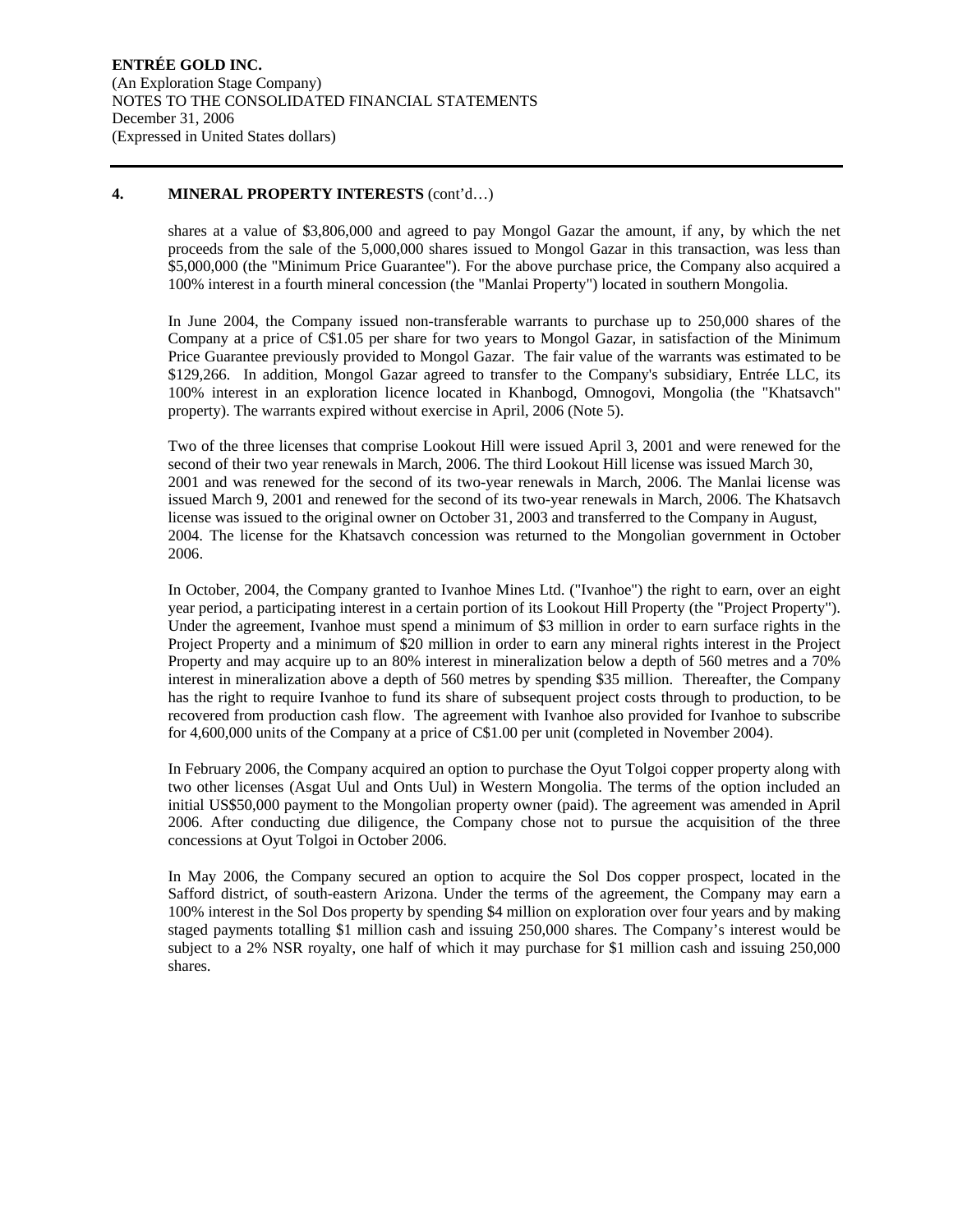#### **4. MINERAL PROPERTY INTERESTS** (cont'd…)

shares at a value of \$3,806,000 and agreed to pay Mongol Gazar the amount, if any, by which the net proceeds from the sale of the 5,000,000 shares issued to Mongol Gazar in this transaction, was less than \$5,000,000 (the "Minimum Price Guarantee"). For the above purchase price, the Company also acquired a 100% interest in a fourth mineral concession (the "Manlai Property") located in southern Mongolia.

In June 2004, the Company issued non-transferable warrants to purchase up to 250,000 shares of the Company at a price of C\$1.05 per share for two years to Mongol Gazar, in satisfaction of the Minimum Price Guarantee previously provided to Mongol Gazar. The fair value of the warrants was estimated to be \$129,266. In addition, Mongol Gazar agreed to transfer to the Company's subsidiary, Entrée LLC, its 100% interest in an exploration licence located in Khanbogd, Omnogovi, Mongolia (the "Khatsavch" property). The warrants expired without exercise in April, 2006 (Note 5).

Two of the three licenses that comprise Lookout Hill were issued April 3, 2001 and were renewed for the second of their two year renewals in March, 2006. The third Lookout Hill license was issued March 30, 2001 and was renewed for the second of its two-year renewals in March, 2006. The Manlai license was issued March 9, 2001 and renewed for the second of its two-year renewals in March, 2006. The Khatsavch license was issued to the original owner on October 31, 2003 and transferred to the Company in August, 2004. The license for the Khatsavch concession was returned to the Mongolian government in October 2006.

In October, 2004, the Company granted to Ivanhoe Mines Ltd. ("Ivanhoe") the right to earn, over an eight year period, a participating interest in a certain portion of its Lookout Hill Property (the "Project Property"). Under the agreement, Ivanhoe must spend a minimum of \$3 million in order to earn surface rights in the Project Property and a minimum of \$20 million in order to earn any mineral rights interest in the Project Property and may acquire up to an 80% interest in mineralization below a depth of 560 metres and a 70% interest in mineralization above a depth of 560 metres by spending \$35 million. Thereafter, the Company has the right to require Ivanhoe to fund its share of subsequent project costs through to production, to be recovered from production cash flow. The agreement with Ivanhoe also provided for Ivanhoe to subscribe for 4,600,000 units of the Company at a price of C\$1.00 per unit (completed in November 2004).

In February 2006, the Company acquired an option to purchase the Oyut Tolgoi copper property along with two other licenses (Asgat Uul and Onts Uul) in Western Mongolia. The terms of the option included an initial US\$50,000 payment to the Mongolian property owner (paid). The agreement was amended in April 2006. After conducting due diligence, the Company chose not to pursue the acquisition of the three concessions at Oyut Tolgoi in October 2006.

In May 2006, the Company secured an option to acquire the Sol Dos copper prospect, located in the Safford district, of south-eastern Arizona. Under the terms of the agreement, the Company may earn a 100% interest in the Sol Dos property by spending \$4 million on exploration over four years and by making staged payments totalling \$1 million cash and issuing 250,000 shares. The Company's interest would be subject to a 2% NSR royalty, one half of which it may purchase for \$1 million cash and issuing 250,000 shares.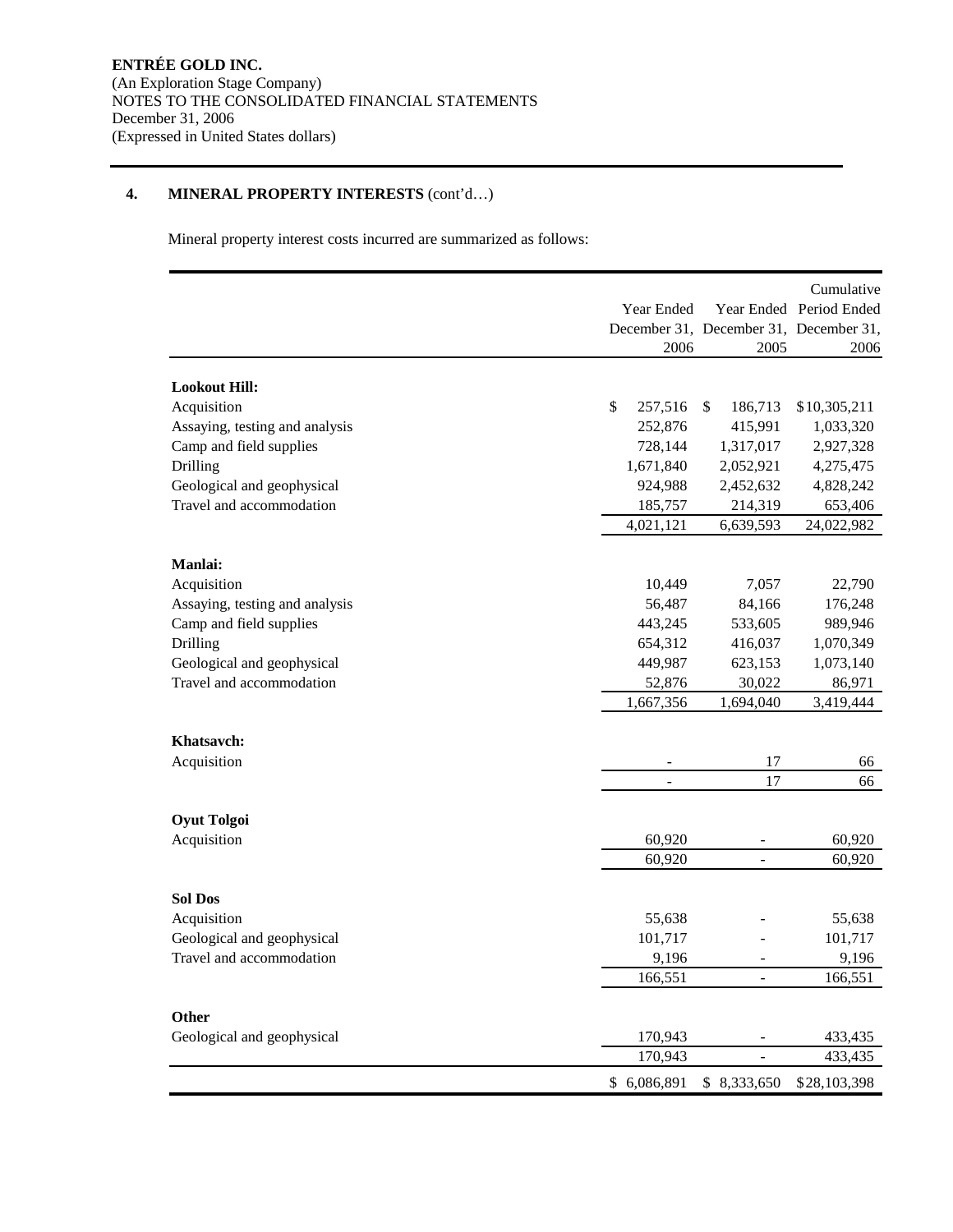# **4. MINERAL PROPERTY INTERESTS** (cont'd…)

Mineral property interest costs incurred are summarized as follows:

|                                     | Year Ended<br>2006       | December 31, December 31, December 31,<br>2005 | Cumulative<br>Year Ended Period Ended<br>2006 |
|-------------------------------------|--------------------------|------------------------------------------------|-----------------------------------------------|
|                                     |                          |                                                |                                               |
| <b>Lookout Hill:</b><br>Acquisition | \$<br>257,516            | 186,713<br>\$                                  | \$10,305,211                                  |
| Assaying, testing and analysis      | 252,876                  | 415,991                                        | 1,033,320                                     |
| Camp and field supplies             | 728,144                  | 1,317,017                                      | 2,927,328                                     |
| Drilling                            | 1,671,840                | 2,052,921                                      | 4,275,475                                     |
| Geological and geophysical          | 924,988                  | 2,452,632                                      | 4,828,242                                     |
| Travel and accommodation            | 185,757                  | 214,319                                        | 653,406                                       |
|                                     | 4,021,121                | 6,639,593                                      | 24,022,982                                    |
|                                     |                          |                                                |                                               |
| <b>Manlai:</b><br>Acquisition       | 10,449                   | 7,057                                          | 22,790                                        |
| Assaying, testing and analysis      | 56,487                   | 84,166                                         | 176,248                                       |
| Camp and field supplies             | 443,245                  | 533,605                                        | 989,946                                       |
| Drilling                            | 654,312                  | 416,037                                        | 1,070,349                                     |
| Geological and geophysical          | 449,987                  | 623,153                                        | 1,073,140                                     |
| Travel and accommodation            | 52,876                   | 30,022                                         | 86,971                                        |
|                                     | 1,667,356                | 1,694,040                                      | 3,419,444                                     |
|                                     |                          |                                                |                                               |
| Khatsavch:                          |                          |                                                |                                               |
| Acquisition                         |                          | 17<br>17                                       | 66                                            |
|                                     | $\overline{\phantom{a}}$ |                                                | 66                                            |
| <b>Oyut Tolgoi</b>                  |                          |                                                |                                               |
| Acquisition                         | 60,920                   |                                                | 60,920                                        |
|                                     | 60,920                   | $\overline{a}$                                 | 60,920                                        |
|                                     |                          |                                                |                                               |
| <b>Sol Dos</b>                      |                          |                                                |                                               |
| Acquisition                         | 55,638                   |                                                | 55,638                                        |
| Geological and geophysical          | 101,717                  |                                                | 101,717                                       |
| Travel and accommodation            | 9,196                    |                                                | 9,196                                         |
|                                     | 166,551                  |                                                | 166,551                                       |
| <b>Other</b>                        |                          |                                                |                                               |
| Geological and geophysical          | 170,943                  |                                                | 433,435                                       |
|                                     | 170,943                  |                                                | 433,435                                       |
|                                     | \$6,086,891              | \$8,333,650                                    | \$28,103,398                                  |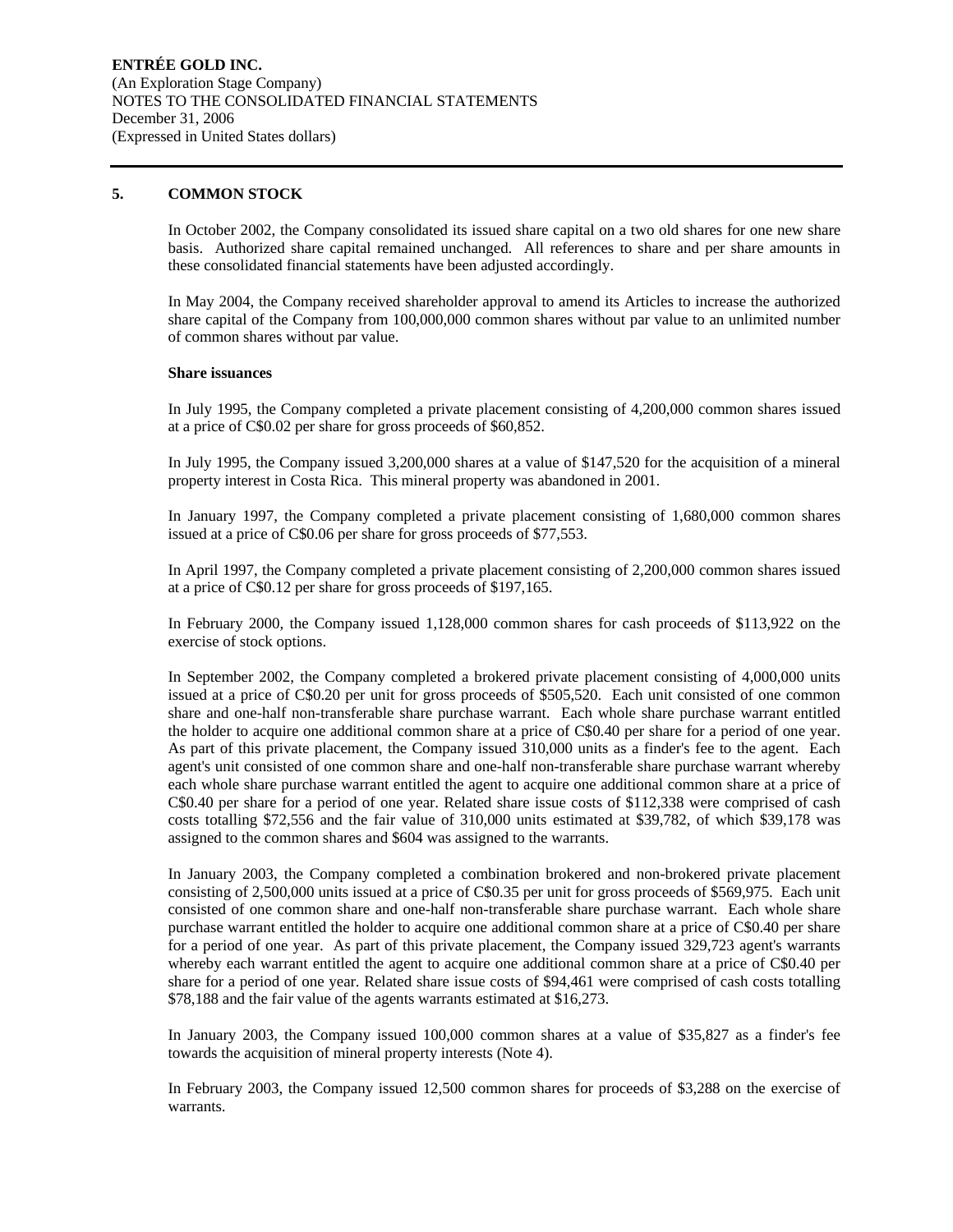#### **5. COMMON STOCK**

In October 2002, the Company consolidated its issued share capital on a two old shares for one new share basis. Authorized share capital remained unchanged. All references to share and per share amounts in these consolidated financial statements have been adjusted accordingly.

In May 2004, the Company received shareholder approval to amend its Articles to increase the authorized share capital of the Company from 100,000,000 common shares without par value to an unlimited number of common shares without par value.

#### **Share issuances**

In July 1995, the Company completed a private placement consisting of 4,200,000 common shares issued at a price of C\$0.02 per share for gross proceeds of \$60,852.

In July 1995, the Company issued 3,200,000 shares at a value of \$147,520 for the acquisition of a mineral property interest in Costa Rica. This mineral property was abandoned in 2001.

In January 1997, the Company completed a private placement consisting of 1,680,000 common shares issued at a price of C\$0.06 per share for gross proceeds of \$77,553.

In April 1997, the Company completed a private placement consisting of 2,200,000 common shares issued at a price of C\$0.12 per share for gross proceeds of \$197,165.

In February 2000, the Company issued 1,128,000 common shares for cash proceeds of \$113,922 on the exercise of stock options.

In September 2002, the Company completed a brokered private placement consisting of 4,000,000 units issued at a price of C\$0.20 per unit for gross proceeds of \$505,520. Each unit consisted of one common share and one-half non-transferable share purchase warrant. Each whole share purchase warrant entitled the holder to acquire one additional common share at a price of C\$0.40 per share for a period of one year. As part of this private placement, the Company issued 310,000 units as a finder's fee to the agent. Each agent's unit consisted of one common share and one-half non-transferable share purchase warrant whereby each whole share purchase warrant entitled the agent to acquire one additional common share at a price of C\$0.40 per share for a period of one year. Related share issue costs of \$112,338 were comprised of cash costs totalling \$72,556 and the fair value of 310,000 units estimated at \$39,782, of which \$39,178 was assigned to the common shares and \$604 was assigned to the warrants.

In January 2003, the Company completed a combination brokered and non-brokered private placement consisting of 2,500,000 units issued at a price of C\$0.35 per unit for gross proceeds of \$569,975. Each unit consisted of one common share and one-half non-transferable share purchase warrant. Each whole share purchase warrant entitled the holder to acquire one additional common share at a price of C\$0.40 per share for a period of one year. As part of this private placement, the Company issued 329,723 agent's warrants whereby each warrant entitled the agent to acquire one additional common share at a price of C\$0.40 per share for a period of one year. Related share issue costs of \$94,461 were comprised of cash costs totalling \$78,188 and the fair value of the agents warrants estimated at \$16,273.

In January 2003, the Company issued 100,000 common shares at a value of \$35,827 as a finder's fee towards the acquisition of mineral property interests (Note 4).

In February 2003, the Company issued 12,500 common shares for proceeds of \$3,288 on the exercise of warrants.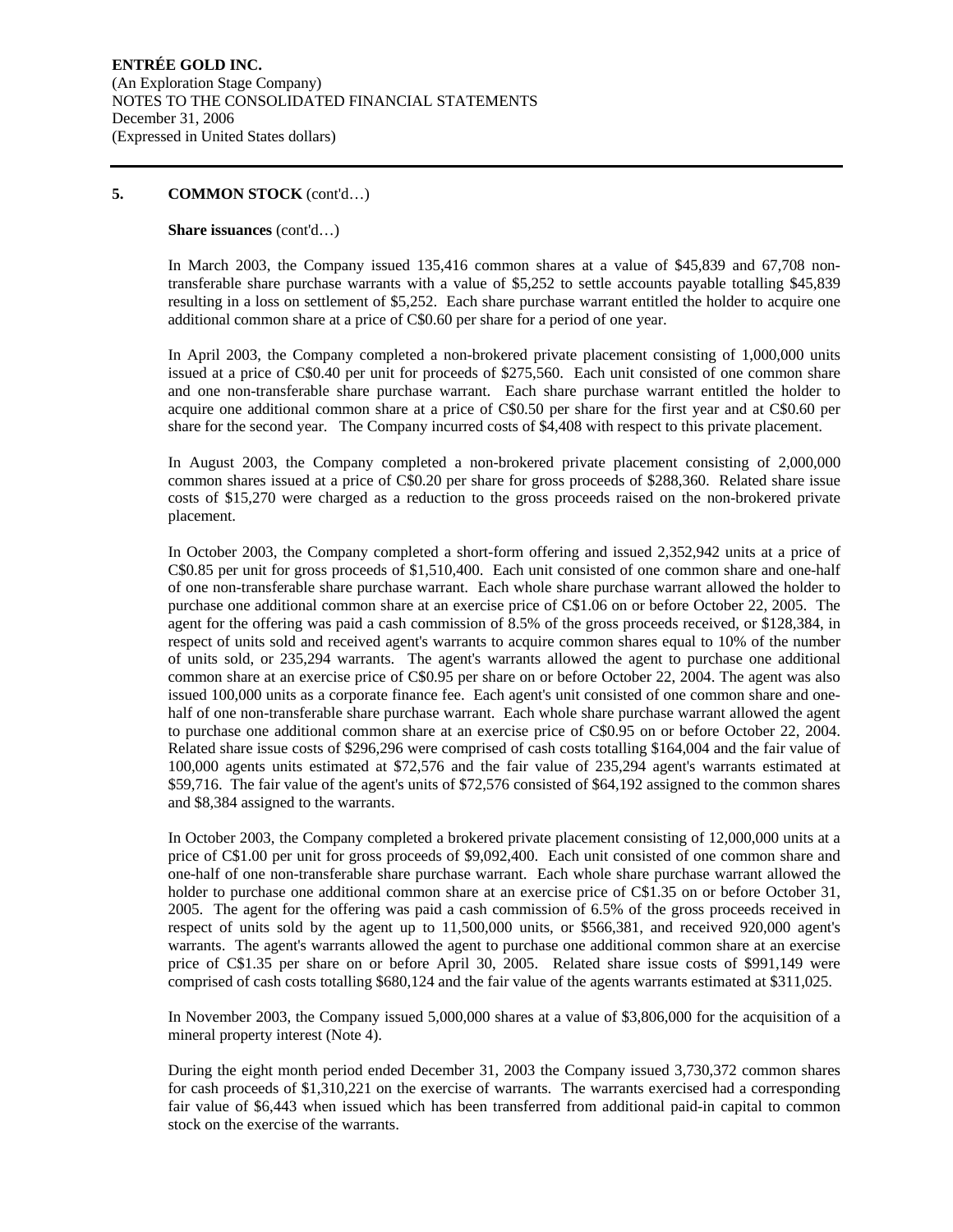#### **Share issuances** (cont'd…)

In March 2003, the Company issued 135,416 common shares at a value of \$45,839 and 67,708 nontransferable share purchase warrants with a value of \$5,252 to settle accounts payable totalling \$45,839 resulting in a loss on settlement of \$5,252. Each share purchase warrant entitled the holder to acquire one additional common share at a price of C\$0.60 per share for a period of one year.

In April 2003, the Company completed a non-brokered private placement consisting of 1,000,000 units issued at a price of C\$0.40 per unit for proceeds of \$275,560. Each unit consisted of one common share and one non-transferable share purchase warrant. Each share purchase warrant entitled the holder to acquire one additional common share at a price of C\$0.50 per share for the first year and at C\$0.60 per share for the second year. The Company incurred costs of \$4,408 with respect to this private placement.

In August 2003, the Company completed a non-brokered private placement consisting of 2,000,000 common shares issued at a price of C\$0.20 per share for gross proceeds of \$288,360. Related share issue costs of \$15,270 were charged as a reduction to the gross proceeds raised on the non-brokered private placement.

In October 2003, the Company completed a short-form offering and issued 2,352,942 units at a price of C\$0.85 per unit for gross proceeds of \$1,510,400. Each unit consisted of one common share and one-half of one non-transferable share purchase warrant. Each whole share purchase warrant allowed the holder to purchase one additional common share at an exercise price of C\$1.06 on or before October 22, 2005. The agent for the offering was paid a cash commission of 8.5% of the gross proceeds received, or \$128,384, in respect of units sold and received agent's warrants to acquire common shares equal to 10% of the number of units sold, or 235,294 warrants. The agent's warrants allowed the agent to purchase one additional common share at an exercise price of C\$0.95 per share on or before October 22, 2004. The agent was also issued 100,000 units as a corporate finance fee. Each agent's unit consisted of one common share and onehalf of one non-transferable share purchase warrant. Each whole share purchase warrant allowed the agent to purchase one additional common share at an exercise price of C\$0.95 on or before October 22, 2004. Related share issue costs of \$296,296 were comprised of cash costs totalling \$164,004 and the fair value of 100,000 agents units estimated at \$72,576 and the fair value of 235,294 agent's warrants estimated at \$59,716. The fair value of the agent's units of \$72,576 consisted of \$64,192 assigned to the common shares and \$8,384 assigned to the warrants.

In October 2003, the Company completed a brokered private placement consisting of 12,000,000 units at a price of C\$1.00 per unit for gross proceeds of \$9,092,400. Each unit consisted of one common share and one-half of one non-transferable share purchase warrant. Each whole share purchase warrant allowed the holder to purchase one additional common share at an exercise price of C\$1.35 on or before October 31, 2005. The agent for the offering was paid a cash commission of 6.5% of the gross proceeds received in respect of units sold by the agent up to 11,500,000 units, or \$566,381, and received 920,000 agent's warrants. The agent's warrants allowed the agent to purchase one additional common share at an exercise price of C\$1.35 per share on or before April 30, 2005. Related share issue costs of \$991,149 were comprised of cash costs totalling \$680,124 and the fair value of the agents warrants estimated at \$311,025.

In November 2003, the Company issued 5,000,000 shares at a value of \$3,806,000 for the acquisition of a mineral property interest (Note 4).

During the eight month period ended December 31, 2003 the Company issued 3,730,372 common shares for cash proceeds of \$1,310,221 on the exercise of warrants. The warrants exercised had a corresponding fair value of \$6,443 when issued which has been transferred from additional paid-in capital to common stock on the exercise of the warrants.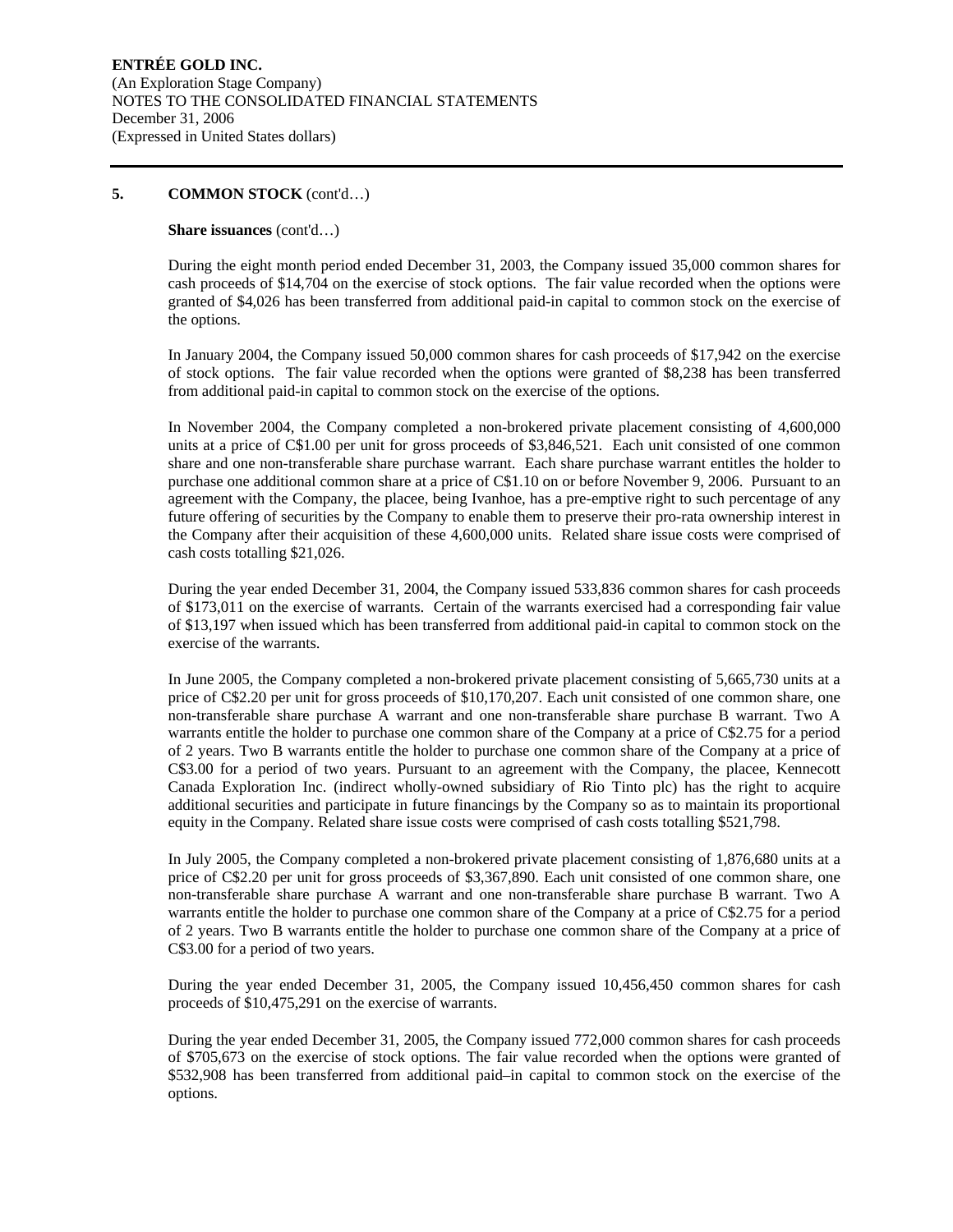#### **Share issuances** (cont'd…)

During the eight month period ended December 31, 2003, the Company issued 35,000 common shares for cash proceeds of \$14,704 on the exercise of stock options. The fair value recorded when the options were granted of \$4,026 has been transferred from additional paid-in capital to common stock on the exercise of the options.

In January 2004, the Company issued 50,000 common shares for cash proceeds of \$17,942 on the exercise of stock options. The fair value recorded when the options were granted of \$8,238 has been transferred from additional paid-in capital to common stock on the exercise of the options.

In November 2004, the Company completed a non-brokered private placement consisting of 4,600,000 units at a price of C\$1.00 per unit for gross proceeds of \$3,846,521. Each unit consisted of one common share and one non-transferable share purchase warrant. Each share purchase warrant entitles the holder to purchase one additional common share at a price of C\$1.10 on or before November 9, 2006. Pursuant to an agreement with the Company, the placee, being Ivanhoe, has a pre-emptive right to such percentage of any future offering of securities by the Company to enable them to preserve their pro-rata ownership interest in the Company after their acquisition of these 4,600,000 units. Related share issue costs were comprised of cash costs totalling \$21,026.

During the year ended December 31, 2004, the Company issued 533,836 common shares for cash proceeds of \$173,011 on the exercise of warrants. Certain of the warrants exercised had a corresponding fair value of \$13,197 when issued which has been transferred from additional paid-in capital to common stock on the exercise of the warrants.

In June 2005, the Company completed a non-brokered private placement consisting of 5,665,730 units at a price of C\$2.20 per unit for gross proceeds of \$10,170,207. Each unit consisted of one common share, one non-transferable share purchase A warrant and one non-transferable share purchase B warrant. Two A warrants entitle the holder to purchase one common share of the Company at a price of C\$2.75 for a period of 2 years. Two B warrants entitle the holder to purchase one common share of the Company at a price of C\$3.00 for a period of two years. Pursuant to an agreement with the Company, the placee, Kennecott Canada Exploration Inc. (indirect wholly-owned subsidiary of Rio Tinto plc) has the right to acquire additional securities and participate in future financings by the Company so as to maintain its proportional equity in the Company. Related share issue costs were comprised of cash costs totalling \$521,798.

In July 2005, the Company completed a non-brokered private placement consisting of 1,876,680 units at a price of C\$2.20 per unit for gross proceeds of \$3,367,890. Each unit consisted of one common share, one non-transferable share purchase A warrant and one non-transferable share purchase B warrant. Two A warrants entitle the holder to purchase one common share of the Company at a price of C\$2.75 for a period of 2 years. Two B warrants entitle the holder to purchase one common share of the Company at a price of C\$3.00 for a period of two years.

During the year ended December 31, 2005, the Company issued 10,456,450 common shares for cash proceeds of \$10,475,291 on the exercise of warrants.

During the year ended December 31, 2005, the Company issued 772,000 common shares for cash proceeds of \$705,673 on the exercise of stock options. The fair value recorded when the options were granted of \$532,908 has been transferred from additional paid–in capital to common stock on the exercise of the options.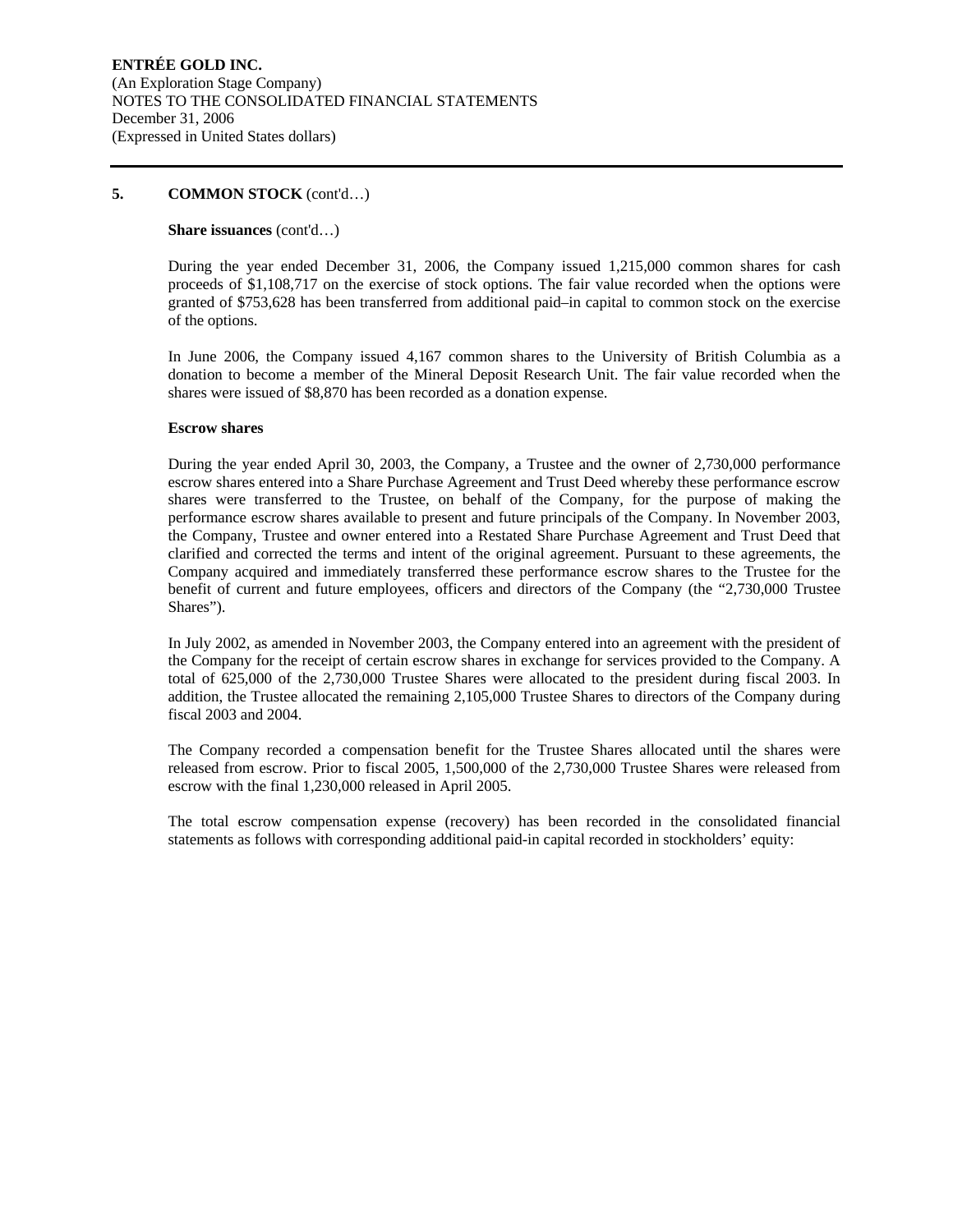#### **Share issuances** (cont'd…)

During the year ended December 31, 2006, the Company issued 1,215,000 common shares for cash proceeds of \$1,108,717 on the exercise of stock options. The fair value recorded when the options were granted of \$753,628 has been transferred from additional paid–in capital to common stock on the exercise of the options.

In June 2006, the Company issued 4,167 common shares to the University of British Columbia as a donation to become a member of the Mineral Deposit Research Unit. The fair value recorded when the shares were issued of \$8,870 has been recorded as a donation expense.

#### **Escrow shares**

During the year ended April 30, 2003, the Company, a Trustee and the owner of 2,730,000 performance escrow shares entered into a Share Purchase Agreement and Trust Deed whereby these performance escrow shares were transferred to the Trustee, on behalf of the Company, for the purpose of making the performance escrow shares available to present and future principals of the Company. In November 2003, the Company, Trustee and owner entered into a Restated Share Purchase Agreement and Trust Deed that clarified and corrected the terms and intent of the original agreement. Pursuant to these agreements, the Company acquired and immediately transferred these performance escrow shares to the Trustee for the benefit of current and future employees, officers and directors of the Company (the "2,730,000 Trustee Shares").

In July 2002, as amended in November 2003, the Company entered into an agreement with the president of the Company for the receipt of certain escrow shares in exchange for services provided to the Company. A total of 625,000 of the 2,730,000 Trustee Shares were allocated to the president during fiscal 2003. In addition, the Trustee allocated the remaining 2,105,000 Trustee Shares to directors of the Company during fiscal 2003 and 2004.

The Company recorded a compensation benefit for the Trustee Shares allocated until the shares were released from escrow. Prior to fiscal 2005, 1,500,000 of the 2,730,000 Trustee Shares were released from escrow with the final 1,230,000 released in April 2005.

The total escrow compensation expense (recovery) has been recorded in the consolidated financial statements as follows with corresponding additional paid-in capital recorded in stockholders' equity: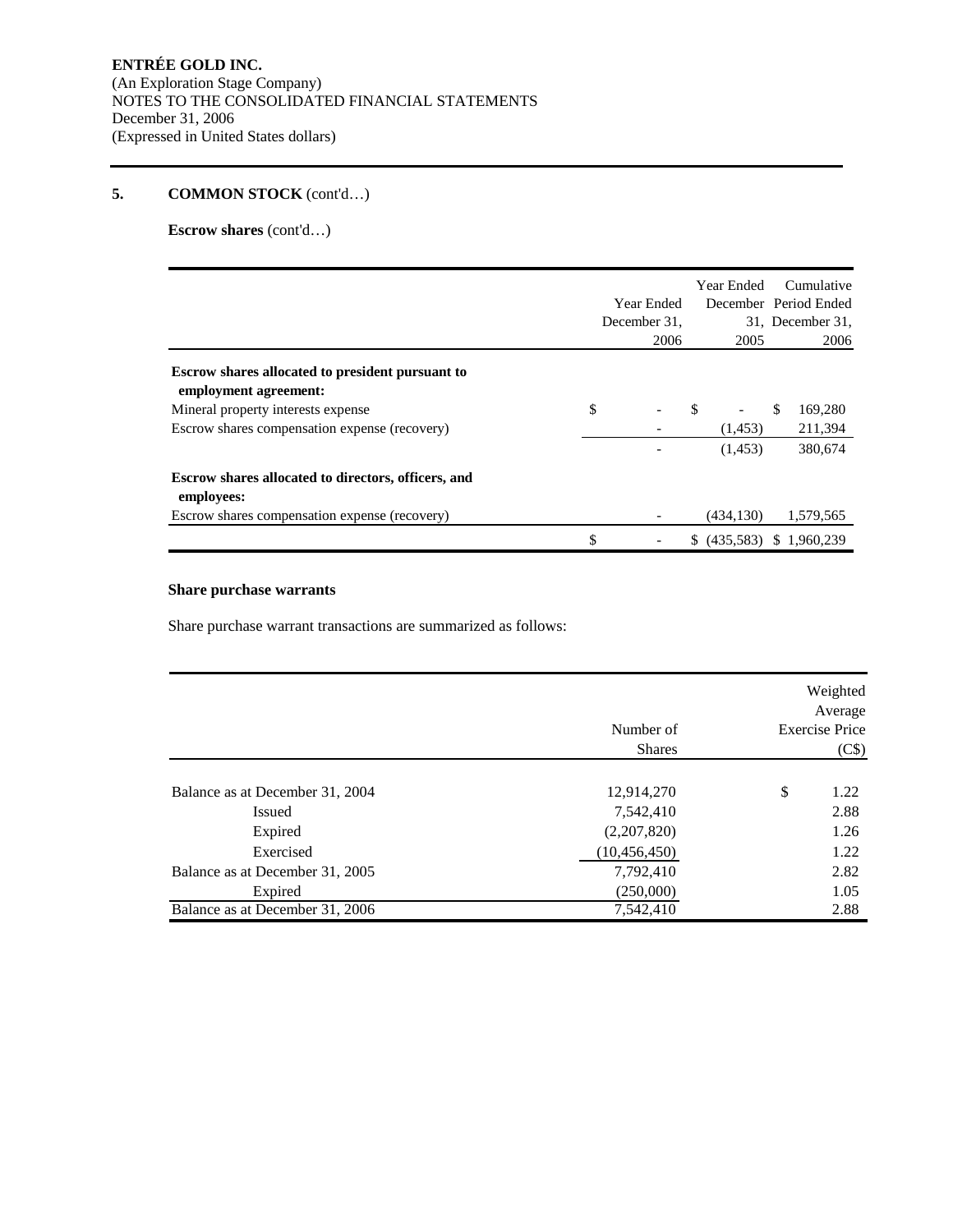**Escrow shares** (cont'd…)

|                                                                           | Year Ended   |     | Year Ended | Cumulative<br>December Period Ended |
|---------------------------------------------------------------------------|--------------|-----|------------|-------------------------------------|
|                                                                           | December 31, |     |            | 31. December 31.                    |
|                                                                           | 2006         |     | 2005       | 2006                                |
| Escrow shares allocated to president pursuant to<br>employment agreement: |              |     |            |                                     |
| Mineral property interests expense                                        | \$           | \$. |            | \$<br>169,280                       |
| Escrow shares compensation expense (recovery)                             |              |     | (1,453)    | 211,394                             |
|                                                                           |              |     | (1,453)    | 380,674                             |
| Escrow shares allocated to directors, officers, and<br>employees:         |              |     |            |                                     |
| Escrow shares compensation expense (recovery)                             |              |     | (434, 130) | 1,579,565                           |
|                                                                           | \$           | \$  | (435,583)  | \$1,960,239                         |

# **Share purchase warrants**

Share purchase warrant transactions are summarized as follows:

|                                 | Number of<br><b>Shares</b> | Weighted<br>Average<br><b>Exercise Price</b><br>(C\$) |
|---------------------------------|----------------------------|-------------------------------------------------------|
| Balance as at December 31, 2004 | 12,914,270                 | \$<br>1.22                                            |
| Issued                          | 7,542,410                  | 2.88                                                  |
| Expired                         | (2,207,820)                | 1.26                                                  |
| Exercised                       | (10, 456, 450)             | 1.22                                                  |
| Balance as at December 31, 2005 | 7,792,410                  | 2.82                                                  |
| Expired                         | (250,000)                  | 1.05                                                  |
| Balance as at December 31, 2006 | 7,542,410                  | 2.88                                                  |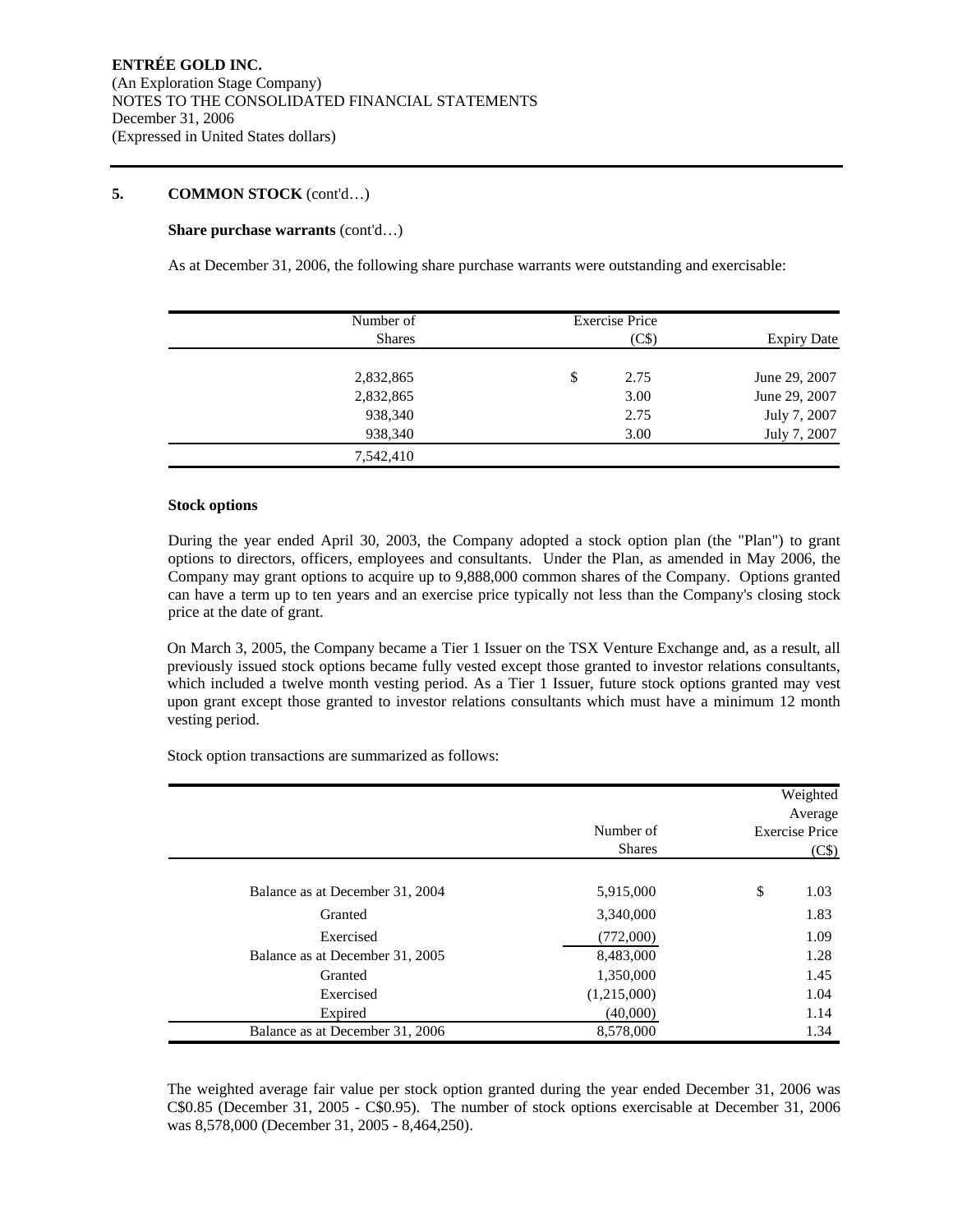#### **Share purchase warrants** (cont'd…)

As at December 31, 2006, the following share purchase warrants were outstanding and exercisable:

| Number of     | <b>Exercise Price</b> |                    |
|---------------|-----------------------|--------------------|
| <b>Shares</b> | (C\$)                 | <b>Expiry Date</b> |
| 2,832,865     | \$<br>2.75            | June 29, 2007      |
| 2,832,865     | 3.00                  | June 29, 2007      |
| 938,340       | 2.75                  | July 7, 2007       |
| 938,340       | 3.00                  | July 7, 2007       |
| 7,542,410     |                       |                    |

#### **Stock options**

During the year ended April 30, 2003, the Company adopted a stock option plan (the "Plan") to grant options to directors, officers, employees and consultants. Under the Plan, as amended in May 2006, the Company may grant options to acquire up to 9,888,000 common shares of the Company. Options granted can have a term up to ten years and an exercise price typically not less than the Company's closing stock price at the date of grant.

On March 3, 2005, the Company became a Tier 1 Issuer on the TSX Venture Exchange and, as a result, all previously issued stock options became fully vested except those granted to investor relations consultants, which included a twelve month vesting period. As a Tier 1 Issuer, future stock options granted may vest upon grant except those granted to investor relations consultants which must have a minimum 12 month vesting period.

Stock option transactions are summarized as follows:

|                                 | Number of<br><b>Shares</b> | Weighted<br>Average<br><b>Exercise Price</b><br>(C\$) |
|---------------------------------|----------------------------|-------------------------------------------------------|
| Balance as at December 31, 2004 | 5,915,000                  | \$<br>1.03                                            |
| Granted                         | 3,340,000                  | 1.83                                                  |
| Exercised                       | (772,000)                  | 1.09                                                  |
| Balance as at December 31, 2005 | 8,483,000                  | 1.28                                                  |
| Granted                         | 1,350,000                  | 1.45                                                  |
| Exercised                       | (1,215,000)                | 1.04                                                  |
| Expired                         | (40,000)                   | 1.14                                                  |
| Balance as at December 31, 2006 | 8,578,000                  | 1.34                                                  |

The weighted average fair value per stock option granted during the year ended December 31, 2006 was C\$0.85 (December 31, 2005 - C\$0.95). The number of stock options exercisable at December 31, 2006 was 8,578,000 (December 31, 2005 - 8,464,250).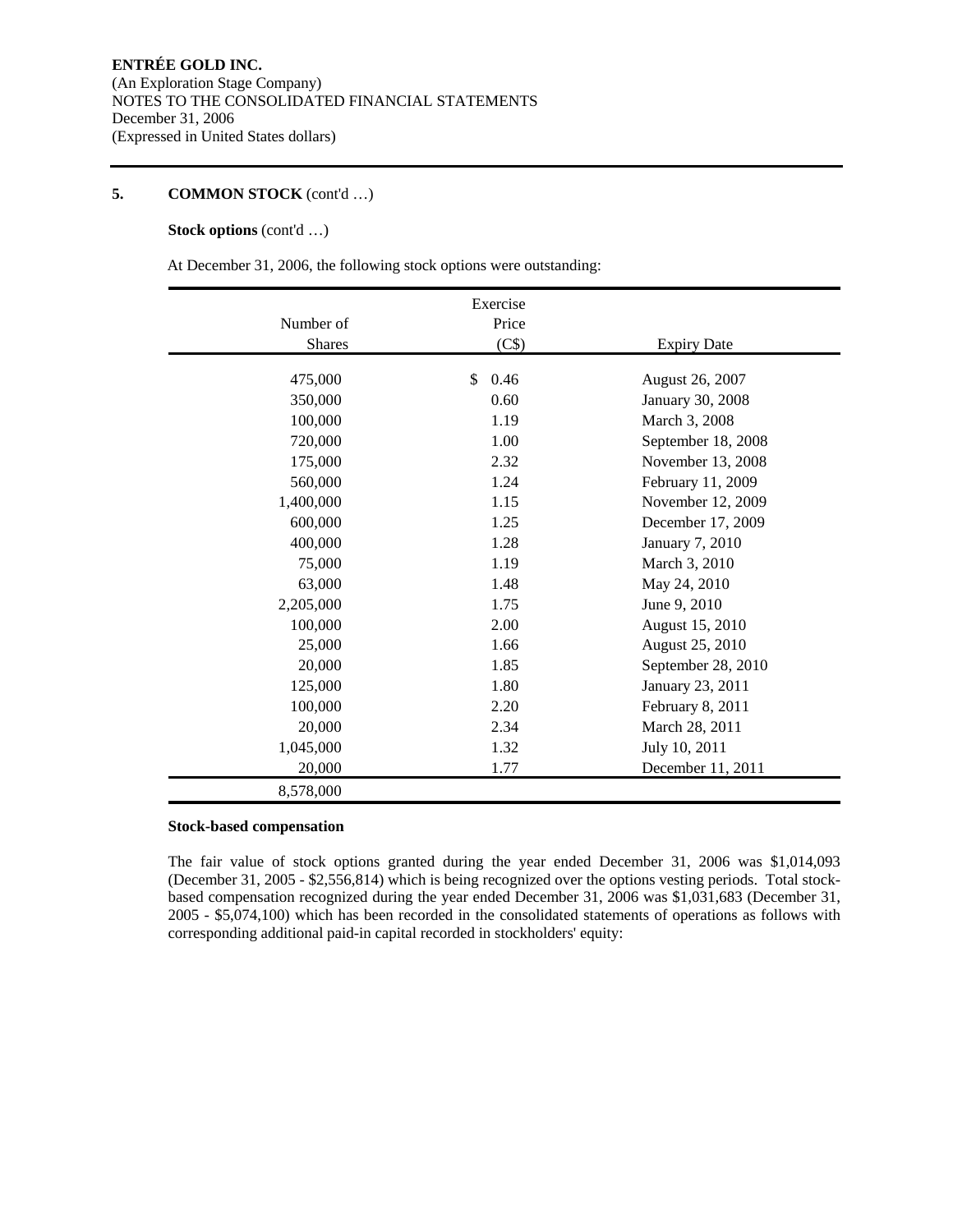#### **Stock options** (cont'd …)

At December 31, 2006, the following stock options were outstanding:

|               | Exercise   |                    |
|---------------|------------|--------------------|
| Number of     | Price      |                    |
| <b>Shares</b> | (C\$)      | <b>Expiry Date</b> |
|               |            |                    |
| 475,000       | \$<br>0.46 | August 26, 2007    |
| 350,000       | 0.60       | January 30, 2008   |
| 100,000       | 1.19       | March 3, 2008      |
| 720,000       | 1.00       | September 18, 2008 |
| 175,000       | 2.32       | November 13, 2008  |
| 560,000       | 1.24       | February 11, 2009  |
| 1,400,000     | 1.15       | November 12, 2009  |
| 600,000       | 1.25       | December 17, 2009  |
| 400,000       | 1.28       | January 7, 2010    |
| 75,000        | 1.19       | March 3, 2010      |
| 63,000        | 1.48       | May 24, 2010       |
| 2,205,000     | 1.75       | June 9, 2010       |
| 100,000       | 2.00       | August 15, 2010    |
| 25,000        | 1.66       | August 25, 2010    |
| 20,000        | 1.85       | September 28, 2010 |
| 125,000       | 1.80       | January 23, 2011   |
| 100,000       | 2.20       | February 8, 2011   |
| 20,000        | 2.34       | March 28, 2011     |
| 1,045,000     | 1.32       | July 10, 2011      |
| 20,000        | 1.77       | December 11, 2011  |
| 8,578,000     |            |                    |

#### **Stock-based compensation**

The fair value of stock options granted during the year ended December 31, 2006 was \$1,014,093 (December 31, 2005 - \$2,556,814) which is being recognized over the options vesting periods. Total stockbased compensation recognized during the year ended December 31, 2006 was \$1,031,683 (December 31, 2005 - \$5,074,100) which has been recorded in the consolidated statements of operations as follows with corresponding additional paid-in capital recorded in stockholders' equity: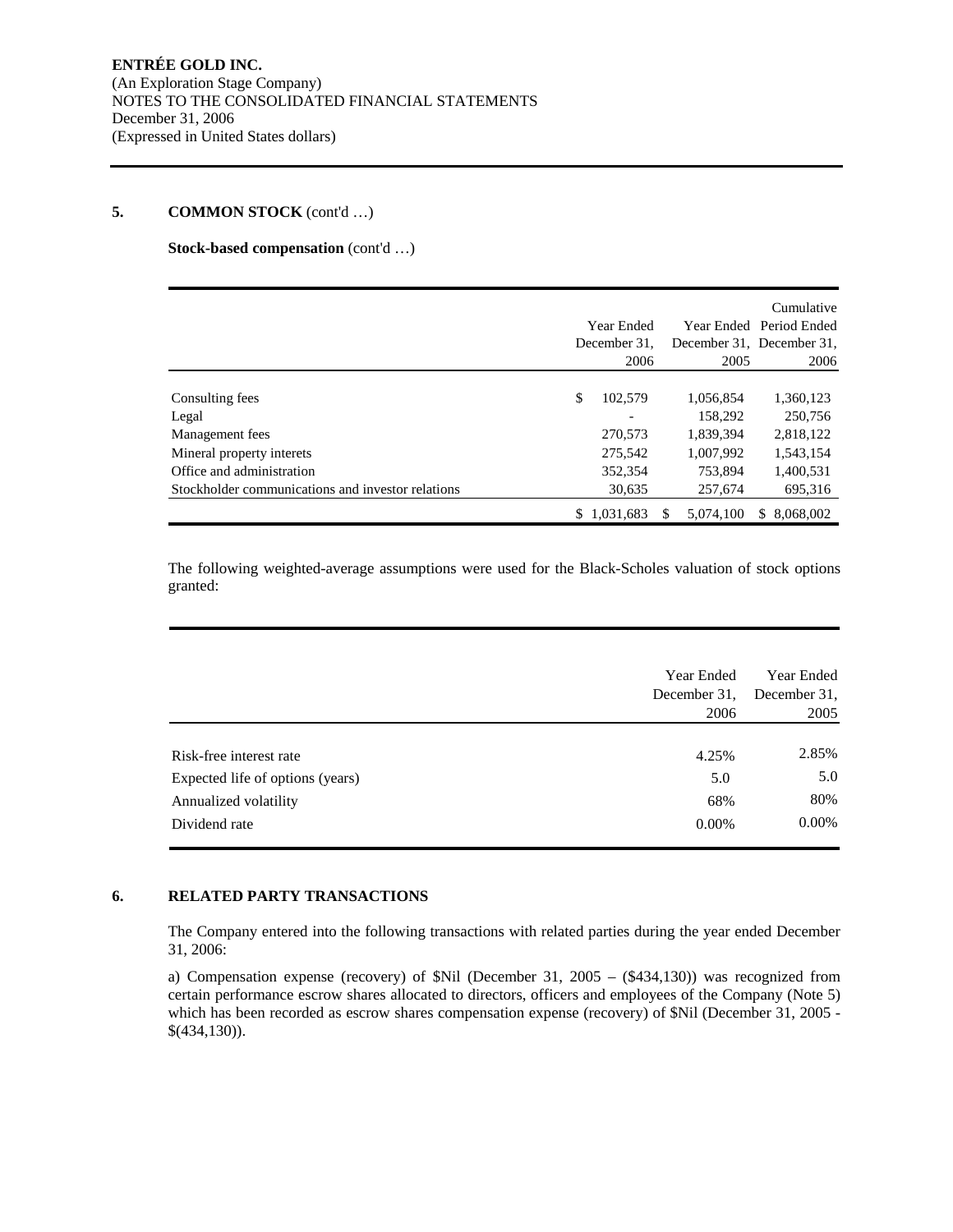#### **Stock-based compensation** (cont'd …)

|                                                   |    |              |           | Cumulative                |
|---------------------------------------------------|----|--------------|-----------|---------------------------|
|                                                   |    | Year Ended   |           | Year Ended Period Ended   |
|                                                   |    | December 31. |           | December 31, December 31, |
|                                                   |    | 2006         | 2005      | 2006                      |
|                                                   |    |              |           |                           |
| Consulting fees                                   | \$ | 102,579      | 1,056,854 | 1,360,123                 |
| Legal                                             |    |              | 158.292   | 250,756                   |
| Management fees                                   |    | 270,573      | 1,839,394 | 2,818,122                 |
| Mineral property interets                         |    | 275,542      | 1,007,992 | 1,543,154                 |
| Office and administration                         |    | 352,354      | 753.894   | 1,400,531                 |
| Stockholder communications and investor relations |    | 30,635       | 257,674   | 695,316                   |
|                                                   | S. | 1.031.683    | 5.074.100 | \$ 8,068,002              |

The following weighted-average assumptions were used for the Black-Scholes valuation of stock options granted:

|                                  | Year Ended<br>December 31,<br>2006 | Year Ended<br>December 31,<br>2005 |
|----------------------------------|------------------------------------|------------------------------------|
| Risk-free interest rate          | 4.25%                              | 2.85%                              |
| Expected life of options (years) | 5.0                                | 5.0                                |
| Annualized volatility            | 68%                                | 80%                                |
| Dividend rate                    | $0.00\%$                           | $0.00\%$                           |

#### **6. RELATED PARTY TRANSACTIONS**

The Company entered into the following transactions with related parties during the year ended December 31, 2006:

a) Compensation expense (recovery) of \$Nil (December 31, 2005 – (\$434,130)) was recognized from certain performance escrow shares allocated to directors, officers and employees of the Company (Note 5) which has been recorded as escrow shares compensation expense (recovery) of \$Nil (December 31, 2005 -\$(434,130)).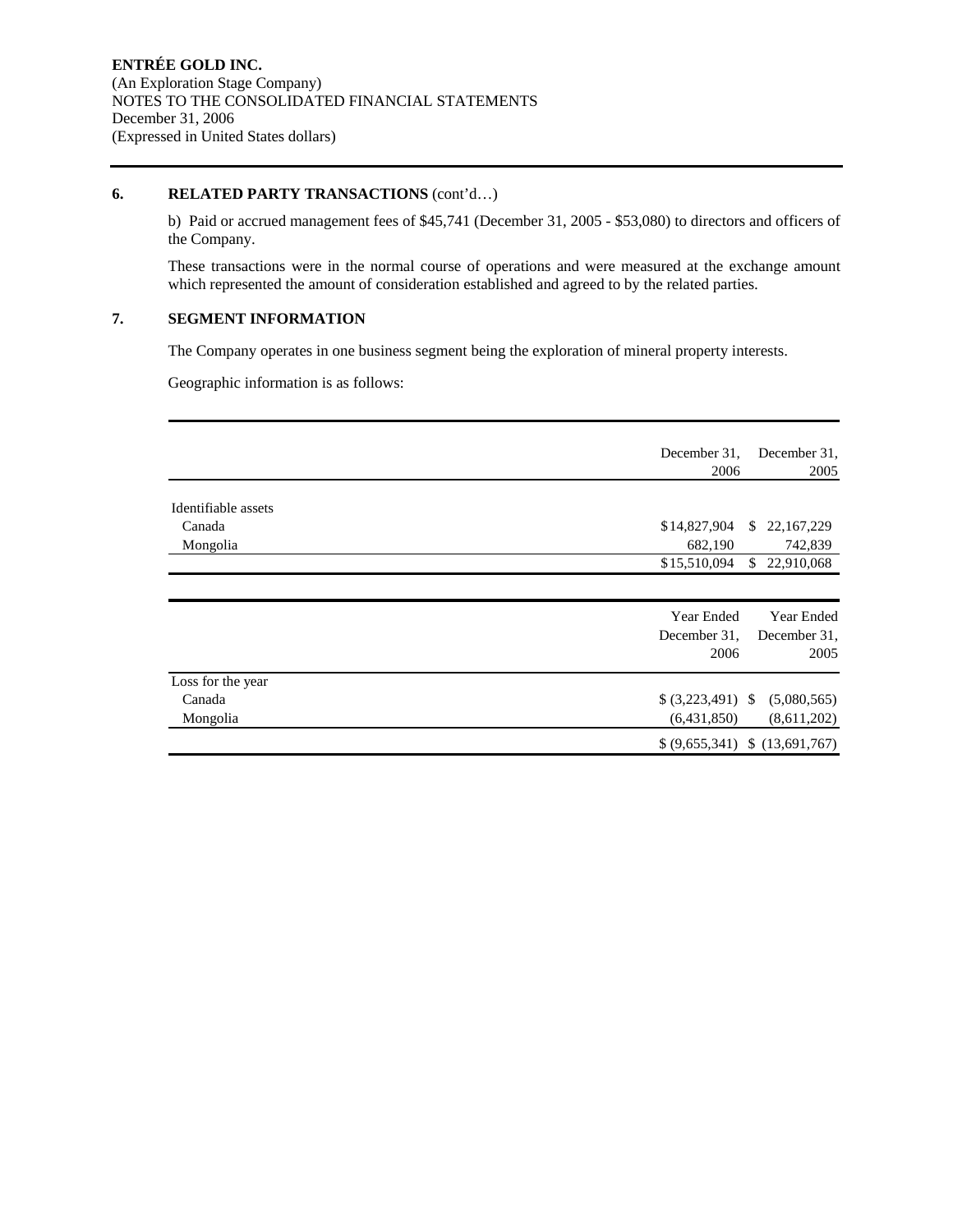#### **6. RELATED PARTY TRANSACTIONS** (cont'd…)

b) Paid or accrued management fees of \$45,741 (December 31, 2005 - \$53,080) to directors and officers of the Company.

These transactions were in the normal course of operations and were measured at the exchange amount which represented the amount of consideration established and agreed to by the related parties.

# **7. SEGMENT INFORMATION**

The Company operates in one business segment being the exploration of mineral property interests.

Geographic information is as follows:

|                     | December 31,<br>2006            | December 31,<br>2005 |
|---------------------|---------------------------------|----------------------|
| Identifiable assets |                                 |                      |
| Canada              | \$14,827,904<br>S.              | 22, 167, 229         |
| Mongolia            | 682,190                         | 742,839              |
|                     | \$15,510,094                    | \$22,910,068         |
|                     |                                 |                      |
|                     | Year Ended                      | Year Ended           |
|                     | December 31,                    | December 31.         |
|                     | 2006                            | 2005                 |
| Loss for the year   |                                 |                      |
| Canada              | $(3,223,491)$ \$                | (5,080,565)          |
| Mongolia            | (6,431,850)                     | (8,611,202)          |
|                     | $(9,655,341)$ \$ $(13,691,767)$ |                      |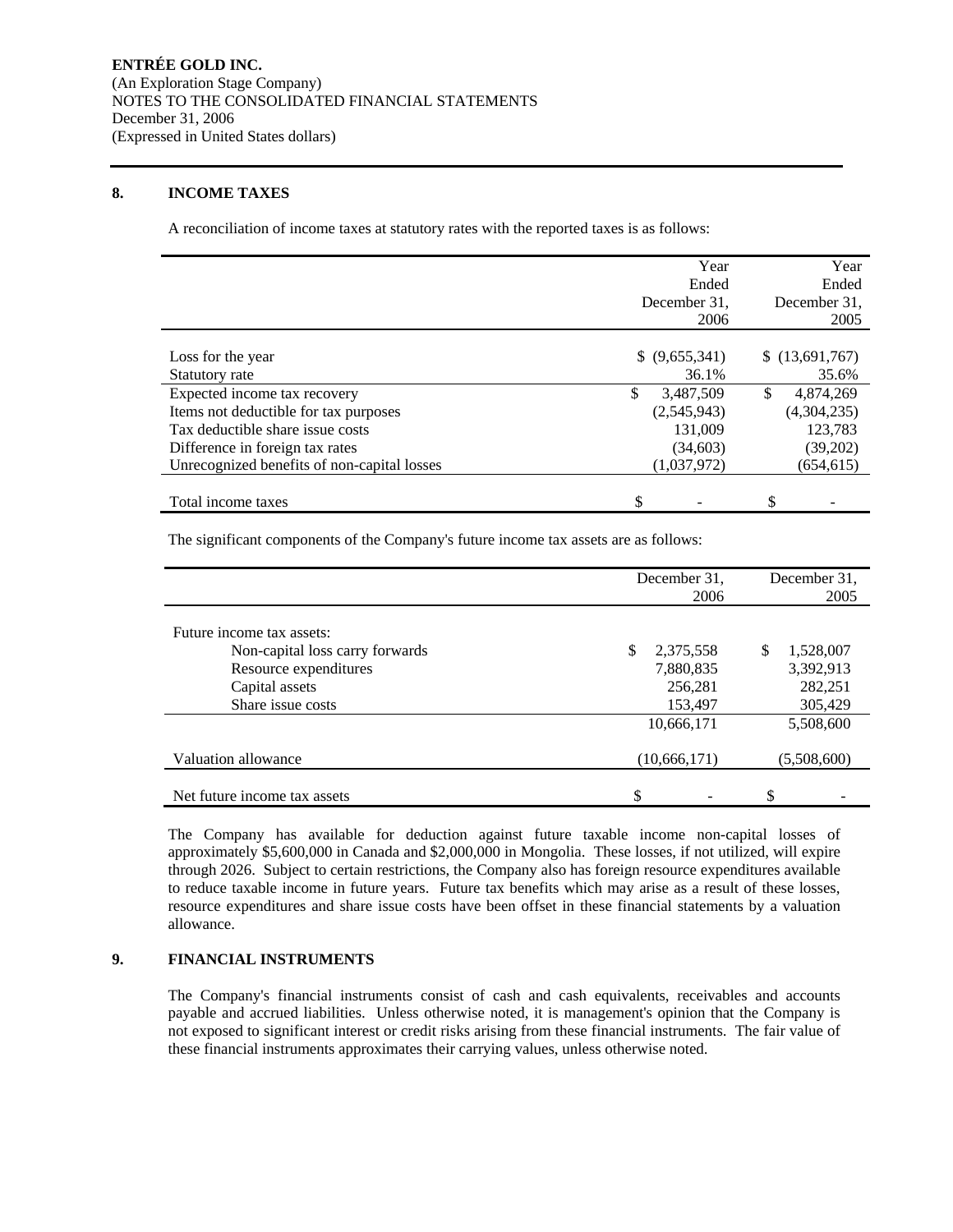### **8. INCOME TAXES**

A reconciliation of income taxes at statutory rates with the reported taxes is as follows:

|                                             | Year             | Year            |
|---------------------------------------------|------------------|-----------------|
|                                             | Ended            | Ended           |
|                                             | December 31.     | December 31.    |
|                                             | 2006             | 2005            |
|                                             |                  |                 |
| Loss for the year                           | \$ (9,655,341)   | \$(13,691,767)  |
| Statutory rate                              | 36.1%            | 35.6%           |
| Expected income tax recovery                | \$.<br>3,487,509 | \$<br>4,874,269 |
| Items not deductible for tax purposes       | (2,545,943)      | (4,304,235)     |
| Tax deductible share issue costs            | 131,009          | 123,783         |
| Difference in foreign tax rates             | (34,603)         | (39,202)        |
| Unrecognized benefits of non-capital losses | (1,037,972)      | (654, 615)      |
|                                             |                  |                 |
| Total income taxes                          | \$               | \$              |

The significant components of the Company's future income tax assets are as follows:

|                                 | December 31.    | December 31.    |
|---------------------------------|-----------------|-----------------|
|                                 | 2006            | 2005            |
|                                 |                 |                 |
| Future income tax assets:       |                 |                 |
| Non-capital loss carry forwards | \$<br>2,375,558 | \$<br>1,528,007 |
| Resource expenditures           | 7,880,835       | 3,392,913       |
| Capital assets                  | 256,281         | 282,251         |
| Share issue costs               | 153,497         | 305,429         |
|                                 | 10,666,171      | 5,508,600       |
| Valuation allowance             | (10, 666, 171)  | (5.508,600)     |
|                                 |                 |                 |
| Net future income tax assets    | \$              | \$              |

The Company has available for deduction against future taxable income non-capital losses of approximately \$5,600,000 in Canada and \$2,000,000 in Mongolia. These losses, if not utilized, will expire through 2026. Subject to certain restrictions, the Company also has foreign resource expenditures available to reduce taxable income in future years. Future tax benefits which may arise as a result of these losses, resource expenditures and share issue costs have been offset in these financial statements by a valuation allowance.

### **9. FINANCIAL INSTRUMENTS**

The Company's financial instruments consist of cash and cash equivalents, receivables and accounts payable and accrued liabilities. Unless otherwise noted, it is management's opinion that the Company is not exposed to significant interest or credit risks arising from these financial instruments. The fair value of these financial instruments approximates their carrying values, unless otherwise noted.